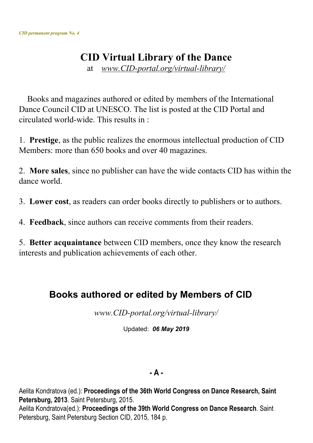# **CID Virtual Library of the Dance**

at *www.CID-portal.org/virtual-library/*

Books and magazines authored or edited by members of the International Dance Council CID at UNESCO. The list is posted at the CID Portal and circulated world-wide. This results in :

1. **Prestige**, as the public realizes the enormous intellectual production of CID Members: more than 650 books and over 40 magazines.

2. **More sales**, since no publisher can have the wide contacts CID has within the dance world.

3. **Lower cost**, as readers can order books directly to publishers or to authors.

4. **Feedback**, since authors can receive comments from their readers.

5. **Better acquaintance** between CID members, once they know the research interests and publication achievements of each other.

# **Books authored or edited by Members of CID**

*www.CID-portal.org/virtual-library/*

Updated: *06 May 2019*

#### **- A -**

Aelita Kondratova (ed.): **Proceedings of the 36th World Congress on Dance Research, Saint Petersburg, 2013**. Saint Petersburg, 2015. Aelita Kondratova(ed.): **Proceedings of the 39th World Congress on Dance Research**. Saint Petersburg, Saint Petersburg Section CID, 2015, 184 p.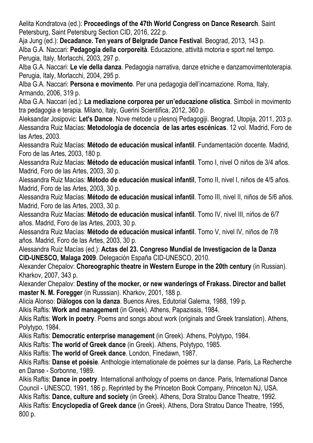Aelita Kondratova (ed.): **Proceedings of the 47th World Congress on Dance Research**. Saint Petersburg, Saint Petersburg Section CID, 2016, 222 p.

Aja Jung (ed.): **Decadance. Ten years of Belgrade Dance Festival**. Beograd, 2013, 143 p. Alba G.A. Naccari: **Pedagogia della corporeità**. Educazione, attività motoria e sport nel tempo. Perugia, Italy, Morlacchi, 2003, 297 p.

Alba G.A. Naccari: **Le vie della danza**. Pedagogia narrativa, danze etniche e danzamovimentoterapia. Perugia, Italy, Morlacchi, 2004, 295 p.

Alba G.A. Naccari: **Persona e movimento**. Per una pedagogia dell'incarnazione. Roma, Italy, Armando, 2006, 319 p.

Alba G.A. Naccari (ed.): **La mediazione corporea per un'educazione olistica**. Simboli in movimento tra pedagogia e terapia. Milano, Italy, Guerini Scientifica, 2012, 360 p.

Aleksandar Josipovic: **Let's Dance**. Nove metode u plesnoj Pedagogiji. Beograd, Utopija, 2011, 203 p. Alessandra Ruiz Macías: **Metodología de docencia de las artes escénicas**. 12 vol. Madrid, Foro de las Artes, 2003.

Alessandra Ruiz Macías: **Método de educación musical infantil**. Fundamentación docente. Madrid, Foro de las Artes, 2003, 180 p.

Alessandra Ruiz Macías: **Método de educación musical infantil**. Tomo I, nivel O niños de 3/4 años. Madrid, Foro de las Artes, 2003, 30 p.

Alessandra Ruiz Macías: **Método de educación musical infantil**, Tomo II, nivel I, niños de 4/5 años. Madrid, Foro de las Artes, 2003, 30 p.

Alessandra Ruiz Macías: **Método de educación musical infantil**. Tomo III, nivel II, niños de 5/6 años. Madrid, Foro de las Artes, 2003, 30 p.

Alessandra Ruiz Macías: **Método de educación musical infantil**. Tomo IV, nivel III, niños de 6/7 años. Madrid, Foro de las Artes, 2003, 30 p.

Alessandra Ruiz Macías: **Método de educación musical infantil**. Tomo V, nivel IV, niños de 7/8 años. Madrid, Foro de las Artes, 2003, 30 p.

Alessandra Ruiz Macías (ed.): **Actas del 23. Congreso Mundial de Investigacion de la Danza CID-UNESCO, Malaga 2009**. Delegación España CID-UNESCO, 2010.

Alexander Chepalov: **Choreographic theatre in Western Europe in the 20th century** (in Russian). Kharkov, 2007, 343 p.

Alexander Chepalov: **Destiny of the mocker, or new wanderings of Frakass. Director and ballet master N. M. Foregger** (in Russsian). Kharkov, 2001, 188 p.

Alicia Alonso: **Diàlogos con la danza**. Buenos Aires, Edutorial Galerna, 1988, 199 p.

Alkis Raftis: **Work and management** (in Greek). Athens, Papazissis, 1984.

Alkis Raftis: **Work in poetry**. Poems and songs about work (originals and Greek translation). Athens, Polytypo, 1984.

Alkis Raftis: **Democratic enterprise management** (in Greek). Athens, Polytypo, 1984.

Alkis Raftis: **The world of Greek dance** (in Greek). Athens, Polytypo, 1985.

Alkis Raftis: **The world of Greek dance**. London, Finedawn, 1987.

Alkis Raftis: **Danse et poésie**. Anthologie internationale de poèmes sur la danse. Paris, La Recherche en Danse - Sorbonne, 1989.

Alkis Raftis: **Dance in poetry**. International anthology of poems on dance. Paris, International Dance Council - UNESCO, 1991, 186 p. Reprinted by the Princeton Book Company, Princeton NJ, USA. Alkis Raftis: **Dance, culture and society** (in Greek). Athens, Dora Stratou Dance Theatre, 1992. Alkis Raftis: **Encyclopedia of Greek dance** (in Greek). Athens, Dora Stratou Dance Theatre, 1995, 800 p.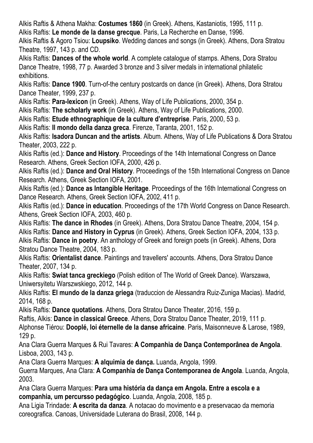Alkis Raftis & Athena Makha: **Costumes 1860** (in Greek). Athens, Kastaniotis, 1995, 111 p.

Alkis Raftis: **Le monde de la danse grecque**. Paris, La Recherche en Danse, 1996.

Alkis Raftis & Agoro Tsiou: **Loupsiko**. Wedding dances and songs (in Greek). Athens, Dora Stratou Theatre, 1997, 143 p. and CD.

Alkis Raftis: **Dances of the whole world**. A complete catalogue of stamps. Athens, Dora Stratou Dance Theatre, 1998, 77 p. Awarded 3 bronze and 3 silver medals in international philatelic exhibitions.

Alkis Raftis: **Dance 1900**. Turn-of-the century postcards on dance (in Greek). Athens, Dora Stratou Dance Theater, 1999, 237 p.

Alkis Raftis: **Para-lexicon** (in Greek). Athens, Way of Life Publications, 2000, 354 p.

Alkis Raftis: **The scholarly work** (in Greek). Athens, Way of Life Publications, 2000.

Alkis Raftis: **Etude ethnographique de la culture d'entreprise**. Paris, 2000, 53 p.

Alkis Raftis: **Il mondo della danza greca**. Firenze, Taranta, 2001, 152 p.

Alkis Raftis: **Isadora Duncan and the artists**. Album. Athens, Way of Life Publications & Dora Stratou Theater, 2003, 222 p.

Alkis Raftis (ed.): **Dance and History**. Proceedings of the 14th International Congress on Dance Research. Athens, Greek Section IOFA, 2000, 426 p.

Alkis Raftis (ed.): **Dance and Oral History**. Proceedings of the 15th International Congress on Dance Research. Athens, Greek Section IOFA, 2001.

Alkis Raftis (ed.): **Dance as Intangible Heritage**. Proceedings of the 16th International Congress on Dance Research. Athens, Greek Section IOFA, 2002, 411 p.

Alkis Raftis (ed.): **Dance in education**. Proceedings of the 17th World Congress on Dance Research. Athens, Greek Section IOFA, 2003, 460 p.

Alkis Raftis: **The dance in Rhodes** (in Greek). Athens, Dora Stratou Dance Theatre, 2004, 154 p. Alkis Raftis: **Dance and History in Cyprus** (in Greek). Athens, Greek Section IOFA, 2004, 133 p. Alkis Raftis: **Dance in poetry**. An anthology of Greek and foreign poets (in Greek). Athens, Dora Stratou Dance Theatre, 2004, 183 p.

Alkis Raftis: **Orientalist dance**. Paintings and travellers' accounts. Athens, Dora Stratou Dance Theater, 2007, 134 p.

Alkis Raftis: **Swiat tanca greckiego** (Polish edition of The World of Greek Dance). Warszawa, Uniwersyitetu Warszwskiego, 2012, 144 p.

Alkis Raftis: **El mundo de la danza griega** (traduccion de Alessandra Ruiz-Zuniga Macias). Madrid, 2014, 168 p.

Alkis Raftis: **Dance quotations**. Athens, Dora Stratou Dance Theater, 2016, 159 p.

Raftis, Alkis: **Dance in classical Greece**. Athens, Dora Stratou Dance Theater, 2019, 111 p.

Alphonse Tiérou: **Dooplé, loi éternelle de la danse africaine**. Paris, Maisonneuve & Larose, 1989, 129 p.

Ana Clara Guerra Marques & Rui Tavares: **A Companhia de Dança Contemporânea de Angola**. Lisboa, 2003, 143 p.

Ana Clara Guerra Marques: **A alquimia de dança.** Luanda, Angola, 1999.

Guerra Marques, Ana Clara: **A Companhia de Dança Contemporanea de Angola**. Luanda, Angola, 2003.

Ana Clara Guerra Marques: **Para uma história da dança em Angola. Entre a escola e a companhia, um percursso pedagógico**. Luanda, Angola, 2008, 185 p.

Ana Ligia Trindade: **A escrita da danza**. A notacao do movimento e a preservacao da memoria coreografica. Canoas, Universidade Luterana do Brasil, 2008, 144 p.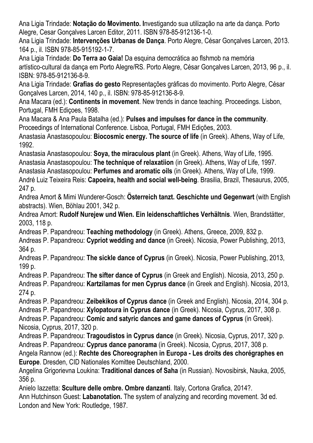Ana Ligia Trindade: **Notação do Movimento. I**nvestigando sua utilização na arte da dança. Porto Alegre, Cesar Gonçalves Larcen Editor, 2011. ISBN 978-85-912136-1-0.

Ana Ligia Trindade: **Intervenções Urbanas de Dança**. Porto Alegre, César Gonçalves Larcen, 2013. 164 p., il. ISBN 978-85-915192-1-7.

Ana Ligia Trindade: **Do Terra ao Gaia!** Da esquina democrática ao flshmob na memória artístico-cultural da dança em Porto Alegre/RS. Porto Alegre, César Gonçalves Larcen, 2013, 96 p., il. ISBN: 978-85-912136-8-9.

Ana Ligia Trindade: **Grafias do gesto** Representações gráficas do movimento. Porto Alegre, César Gonçalves Larcen, 2014, 140 p., il. ISBN: 978-85-912136-8-9.

Ana Macara (ed.): **Continents in movement**. New trends in dance teaching. Proceedings. Lisbon, Portugal, FMH Ediçoes, 1998.

Ana Macara & Ana Paula Batalha (ed.): **Pulses and impulses for dance in the community**. Proceedings of International Conference. Lisboa, Portugal, FMH Edições, 2003.

Anastasia Anastasopoulou: **Biocosmic energy. The source of life** (in Greek). Athens, Way of Life, 1992.

Anastasia Anastasopoulou: **Soya, the miraculous plant** (in Greek). Athens, Way of Life, 1995. Anastasia Anastasopoulou: **The technique of relaxatiion** (in Greek). Athens, Way of Life, 1997. Anastasia Anastasopoulou: **Perfumes and aromatic oils** (in Greek). Athens, Way of Life, 1999. André Luiz Teixeira Reis: **Capoeira, health and social well-being**. Brasilia, Brazil, Thesaurus, 2005, 247 p.

Andrea Amort & Mimi Wunderer-Gosch: **Österreich tanzt. Geschichte und Gegenwart** (with English abstracts). Wien, Böhlau 2001, 342 p.

Andrea Amort: **Rudolf Nurejew und Wien. Ein leidenschaftliches Verhältnis**. Wien, Brandstätter, 2003, 118 p.

Andreas P. Papandreou: **Teaching methodology** (in Greek). Athens, Greece, 2009, 832 p.

Andreas P. Papandreou: **Cypriot wedding and dance** (in Greek). Nicosia, Power Publishing, 2013, 364 p.

Andreas P. Papandreou: **The sickle dance of Cyprus** (in Greek). Nicosia, Power Publishing, 2013, 199 p.

Andreas P. Papandreou: **The sifter dance of Cyprus** (in Greek and English). Nicosia, 2013, 250 p. Andreas P. Papandreou: **Kartzilamas for men Cyprus dance** (in Greek and English). Nicosia, 2013, 274 p.

Andreas P. Papandreou: **Zeibekikos of Cyprus dance** (in Greek and English). Nicosia, 2014, 304 p. Andreas P. Papandreou: **Xylopatoura in Cyprus dance** (in Greek). Nicosia, Cyprus, 2017, 308 p.

Andreas P. Papandreou: **Comic and satyric dances and game dances of Cyprus** (in Greek). Nicosia, Cyprus, 2017, 320 p.

Andreas P. Papandreou: **Tragoudistos in Cyprus dance** (in Greek). Nicosia, Cyprus, 2017, 320 p. Andreas P. Papandreou: **Cyprus dance panorama** (in Greek). Nicosia, Cyprus, 2017, 308 p.

Angela Rannow (ed.): **Rechte des Choreographen in Europa - Les droits des chorégraphes en Europe**. Dresden, CID Nationales Komittee Deutschland, 2000.

Angelina Grigorievna Loukina: **Traditional dances of Saha** (in Russian). Novosibirsk, Nauka, 2005, 356 p.

Anielo Iazzetta: **Sculture delle ombre. Ombre danzanti**. Italy, Cortona Grafica, 2014?. Ann Hutchinson Guest: **Labanotation.** The system of analyzing and recording movement. 3d ed. London and New York: Routledge, 1987.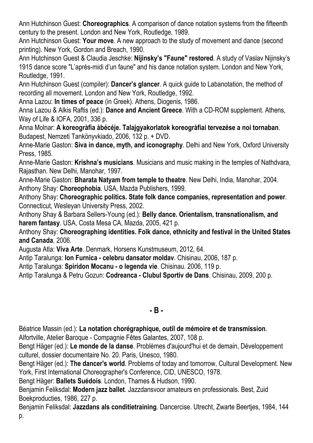Ann Hutchinson Guest: **Choreographics**. A comparison of dance notation systems from the fifteenth century to the present. London and New York, Routledge, 1989.

Ann Hutchinson Guest: **Your move**. A new approach to the study of movement and dance (second printing). New York, Gordon and Breach, 1990.

Ann Hutchinson Guest & Claudia Jeschke: **Nijinsky's "Faune" restored**. A study of Vaslav Nijinsky's 1915 dance score "L'après-midi d'un faune" and his dance notation system. London and New York, Routledge, 1991.

Ann Hutchinson Guest (compiler): **Dancer's glancer**. A quick guide to Labanotation, the method of recording all movement. London and New York, Routledge, 1992.

Anna Lazou: **In times of peace** (in Greek). Athens, Diogenis, 1986.

Anna Lazou & Alkis Raftis (ed.): **Dance and Ancient Greece**. With a CD-ROM supplement. Athens, Way of Life & IOFA, 2001, 336 p.

Anna Molnar: **A koreogràfia àbécéje. Talajgyakorlatok koreogràfiai tervezése a noi tornaban**. Budapest, Nemzeti Tankönyvkiado, 2006, 132 p. + DVD.

Anne-Marie Gaston: **Siva in dance, myth, and iconography**. Delhi and New York, Oxford University Press, 1985.

Anne-Marie Gaston: **Krishna's musicians**. Musicians and music making in the temples of Nathdvara, Rajasthan. New Delhi, Manohar, 1997.

Anne-Marie Gaston: **Bharata Natyam from temple to theatre**. New Delhi, India, Manohar, 2004. Anthony Shay: **Choreophobia**. USA, Mazda Publishers, 1999.

Anthony Shay: **Choreographic politics. State folk dance companies, representation and power**. Connecticut, Wesleyan University Press, 2002.

Anthony Shay & Barbara Sellers-Young (ed.): **Belly dance. Orientalism, transnationalism, and harem fantasy**. USA, Costa Mesa CA, Mazda, 2005, 421 p.

Anthony Shay: **Choreographing identities. Folk dance, ethnicity and festival in the United States and Canada**. 2006.

Augusta Atla: **Viva Arte**. Denmark, Horsens Kunstmuseum, 2012, 64.

Antip Taralunga: **Ion Furnica - celebru dansator moldav**. Chisinau, 2006, 187 p.

Antip Taralunga: **Spiridon Mocanu - o legenda vie**. Chisinau. 2006, 119 p.

Antip Taralunga & Petru Gozun: **Codreanca - Clubul Sportiv de Dans**. Chisinau, 2009, 200 p.

### **- B -**

Béatrice Massin (ed.): **La notation chorégraphique, outil de mémoire et de transmission**.

Alfortville, Atelier Baroque - Compagnie Fêtes Galantes, 2007, 108 p.

Bengt Häger (ed.): **Le monde de la danse**. Problèmes d'aujourd'hui et de demain, Développement culturel, dossier documentaire No. 20. Paris, Unesco, 1980.

Bengt Häger (ed.): **The dancer's world**. Problems of today and tomorrow, Cultural Development. New York, First International Choreographer's Conference, CID, UNESCO, 1978.

Bengt Häger: **Ballets Suédois**. London, Thames & Hudson, 1990.

Benjamin Feliksdal: **Modern jazz ballet**. Jazzdansvoor amateurs en professionals. Best, Zuid Boekproducties, 1986, 227 p.

Benjamin Feliksdal: **Jazzdans als conditietraining**. Dancercise. Utrecht, Zwarte Beertjes, 1984, 144 p.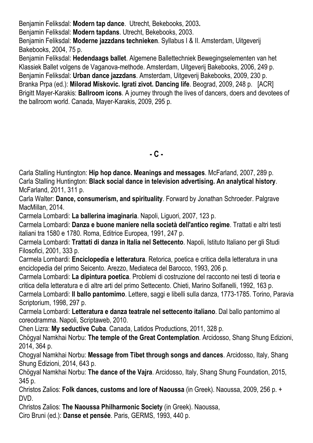Benjamin Feliksdal: **Modern tap dance**. Utrecht, Bekebooks, 2003**.**

Benjamin Feliksdal: **Modern tapdans**. Utrecht, Bekebooks, 2003.

Benjamin Feliksdal: **Moderne jazzdans technieken**. Syllabus I & II. Amsterdam, Uitgeverij Bakebooks, 2004, 75 p.

Benjamin Feliksdal: **Hedendaags ballet**. Algemene Ballettechniek Bewegingselementen van het Klassiek Ballet volgens de Vaganova-methode. Amsterdam, Uitgeverij Bakebooks, 2006, 249 p. Benjamin Feliksdal: **Urban dance jazzdans**. Amsterdam, Uitgeverij Bakebooks, 2009, 230 p. Branka Prpa (ed.): **Milorad Miskovic. Igrati zivot. Dancing life**. Beograd, 2009, 248 p. [ACR] Brigitt Mayer-Karakis: **Ballroom icons**. A journey through the lives of dancers, doers and devotees of the ballroom world. Canada, Mayer-Karakis, 2009, 295 p.

**- C -**

Carla Stalling Huntington: **Hip hop dance. Meanings and messages**. McFarland, 2007, 289 p. Carla Stalling Huntington: **Black social dance in television advertising. An analytical history**. McFarland, 2011, 311 p.

Carla Walter: **Dance, consumerism, and spirituality**. Forward by Jonathan Schroeder. Palgrave MacMillan, 2014.

Carmela Lombardi: **La ballerina imaginaria**. Napoli, Liguori, 2007, 123 p.

Carmela Lombardi: **Danza e buone maniere nella società dell'antico regime**. Trattati e altri testi italiani tra 1580 e 1780. Roma, Editrice Europea, 1991, 247 p.

Carmela Lombardi: **Trattati di danza in Italia nel Settecento**. Napoli, Istituto Italiano per gli Studi Filosofici, 2001, 333 p.

Carmela Lombardi: **Enciclopedia e letteratura**. Retorica, poetica e critica della letteratura in una enciclopedia del primo Seicento. Arezzo, Mediateca del Barocco, 1993, 206 p.

Carmela Lombardi: **La dipintura poetica**. Problemi di costruzione del racconto nei testi di teoria e critica della letteratura e di altre arti del primo Settecento. Chieti, Marino Solfanelli, 1992, 163 p. Carmela Lombardi: **Il ballo pantomimo**. Lettere, saggi e libelli sulla danza, 1773-1785. Torino, Paravia

Scriptorium, 1998, 297 p.

Carmela Lombardi: **Letteratura e danza teatrale nel settecento italiano**. Dal ballo pantomimo al coreodramma. Napoli, Scriptaweb, 2010.

Chen Lizra: **My seductive Cuba**. Canada, Latidos Productions, 2011, 328 p.

Chögyal Namkhai Norbu: **The temple of the Great Contemplation**. Arcidosso, Shang Shung Edizioni, 2014, 364 p.

Chogyal Namkhai Norbu: **Message from Tibet through songs and dances**. Arcidosso, Italy, Shang Shung Edizioni, 2014, 643 p.

Chögyal Namkhai Norbu: **The dance of the Vajra**. Arcidosso, Italy, Shang Shung Foundation, 2015, 345 p.

Christos Zalios: **Folk dances, customs and lore of Naoussa** (in Greek). Naoussa, 2009, 256 p. + DVD.

Christos Zalios: **The Naoussa Philharmonic Society** (in Greek). Naoussa,

Ciro Bruni (ed.): **Danse et pensée**. Paris, GERMS, 1993, 440 p.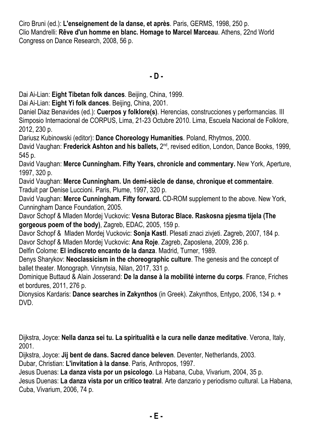Ciro Bruni (ed.): **L'enseignement de la danse, et après**. Paris, GERMS, 1998, 250 p. Clio Mandrelli: **Rêve d'un homme en blanc. Homage to Marcel Marceau**. Athens, 22nd World Congress on Dance Research, 2008, 56 p.

**- D -**

Dai Ai-Lian: **Eight Tibetan folk dances**. Beijing, China, 1999.

Dai Ai-Lian: **Eight Yi folk dances**. Beijing, China, 2001.

Daniel Diaz Benavides (ed.): **Cuerpos y folklore(s)**. Herencias, construcciones y performancias. III Simposio Internacional de CORPUS, Lima, 21-23 Octubre 2010. Lima, Escuela Nacional de Folklore, 2012, 230 p.

Dariusz Kubinowski (editor): **Dance Choreology Humanities**. Poland, Rhytmos, 2000.

David Vaughan: Frederick Ashton and his ballets, 2<sup>nd</sup>, revised edition, London, Dance Books, 1999, 545 p.

David Vaughan: **Merce Cunningham. Fifty Years, chronicle and commentary.** New York, Aperture, 1997, 320 p.

David Vaughan: **Merce Cunningham. Un demi-siècle de danse, chronique et commentaire**. Traduit par Denise Luccioni. Paris, Plume, 1997, 320 p.

David Vaughan: **Merce Cunningham. Fifty forward.** CD-ROM supplement to the above. New York, Cunningham Dance Foundation, 2005.

Davor Schopf & Mladen Mordej Vuckovic: **Vesna Butorac Blace. Raskosna pjesma tijela (The gorgeous poem of the body)**, Zagreb, EDAC, 2005, 159 p.

Davor Schopf & Mladen Mordej Vuckovic: **Sonja Kastl**. Plesati znaci zivjeti. Zagreb, 2007, 184 p. Davor Schopf & Mladen Mordej Vuckovic: **Ana Roje**. Zagreb, Zaposlena, 2009, 236 p.

Delfin Colome: **El indiscreto encanto de la danza**. Madrid, Turner, 1989.

Denys Sharykov: **Neoclassicism in the choreographic culture**. The genesis and the concept of ballet theater. Monograph. Vinnytsia, Nilan, 2017, 331 p.

Dominique Buttaud & Alain Josserand: **De la danse à la mobilité interne du corps**. France, Friches et bordures, 2011, 276 p.

Dionysios Kardaris: **Dance searches in Zakynthos** (in Greek). Zakynthos, Entypo, 2006, 134 p. + DVD.

Dijkstra, Joyce: **Nella danza sei tu. La spiritualità e la cura nelle danze meditative**. Verona, Italy, 2001.

Dijkstra, Joyce: **Jij bent de dans. Sacred dance beleven**. Deventer, Netherlands, 2003.

Dubar, Christian: **L'invitation à la danse**. Paris, Anthropos, 1997.

Jesus Duenas: **La danza vista por un psicologo**. La Habana, Cuba, Vivarium, 2004, 35 p.

Jesus Duenas: **La danza vista por un critico teatral**. Arte danzario y periodismo cultural. La Habana, Cuba, Vivarium, 2006, 74 p.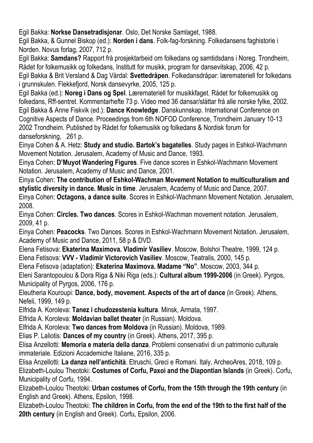Egil Bakka: **Norkse Dansetradisjonar**. Oslo, Det Norske Samlaget, 1988.

Egil Bakka, & Gunnel Biskop (ed.): **Norden i dans**. Folk-fag-forskning. Folkedansens faghistorie i Norden. Novus forlag, 2007, 712 p.

Egil Bakka: **Samdans?** Rapport frå prosjektarbeid om folkedans og samtidsdans i Noreg. Trondheim, Rådet for folkemusikk og folkedans, Institutt for musikk, program for dansevitskap, 2006, 42 p. Egil Bakka & Brit Versland & Dag Vårdal: **Svettedråpen**. Folkedansdråpar: læremateriell for folkedans i grunnskulen. Flekkefjord, Norsk dansevyrke, 2005, 125 p.

Egil Bakka (ed.): **Noreg i Dans og Spel**. Læremateriell for musikkfaget. Rådet for folkemusikk og folkedans, Rff-sentret. Kommentarhefte 73 p. Video med 36 dansar/slåttar frå alle norske fylke, 2002. Egil Bakka & Anne Fiskvik (ed.): **Dance Knowledge**. Danskunnskap. International Conference on Cognitive Aspects of Dance. Proceedings from 6th NOFOD Conference, Trondheim January 10-13 2002 Trondheim. Published by Rådet for folkemusikk og folkedans & Nordisk forum for danseforskning, 261 p.

Einya Cohen & A. Hetz: **Study and studio. Bartok's bagatelles**. Study pages in Eshkol-Wachmann Movement Notation. Jerusalem, Academy of Music and Dance, 1993.

Einya Cohen: **D'Muyot Wandering Figures**. Five dance scores in Eshkol-Wachmann Movement Notation. Jerusalem, Academy of Music and Dance, 2001.

Einya Cohen: **The contribution of Eshkol-Wachman Movement Notation to multiculturalism and stylistic diversity in dance. Music in time**. Jerusalem, Academy of Music and Dance, 2007.

Einya Cohen: **Octagons, a dance suite**. Scores in Eshkol-Wachmann Movement Notation. Jerusalem, 2008.

Einya Cohen: **Circles. Two dances**. Scores in Eshkol-Wachman movement notation. Jerusalem, 2009, 41 p.

Einya Cohen: **Peacocks**. Two Dances. Scores in Eshkol-Wachmann Movement Notation. Jerusalem, Academy of Music and Dance, 2011, 58 p & DVD.

Elena Fetisova: **Ekaterina Maximova. Vladimir Vasiliev**. Moscow, Bolshoi Theatre, 1999, 124 p. Elena Fetisova: **VVV - Vladimir Victorovich Vasiliev**. Moscow, Teatralis, 2000, 145 p.

Elena Fetisova (adaptation): **Ekaterina Maximova. Madame "No"**. Moscow, 2003, 344 p.

Eleni Sarantopoulou & Dora Riga & Niki Riga (eds.): **Cultural album 1999-2006** (in Greek). Pyrgos, Municipality of Pyrgos, 2006, 176 p.

Eleutheria Kouroupi: **Dance, body, movement. Aspects of the art of dance** (in Greek). Athens, Nefeli, 1999, 149 p.

Elfrida A. Koroleva: **Tanez i chudozestenia kultura**. Minsk, Armata, 1997.

Elfrida A. Koroleva: **Moldavian ballet theater** (in Russian). Moldova.

Elfrida A. Koroleva: **Two dances from Moldova** (in Russian). Moldova, 1989.

Elias P. Laliotis: **Dances of my country** (in Greek). Athens, 2017, 395 p.

Elisa Anzellotti: **Memoria e materia della danza**. Problemi conservativi di un patrimonio culturale immateriale. Edizioni Accademiche Italiane, 2016, 335 p.

Elisa Anzellotti: **La danza nell'antichità**. Etruschi, Greci e Romani. Italy, ArcheoAres, 2018, 109 p. Elizabeth-Loulou Theotoki: **Costumes of Corfu, Paxoi and the Diapontian Islands** (in Greek). Corfu, Municipality of Corfu, 1994.

Elizabeth-Loulou Theotoki: **Urban costumes of Corfu, from the 15th through the 19th century** (in English and Greek). Athens, Epsilon, 1998.

Elizabeth-Loulou Theotoki: **The children in Corfu, from the end of the 19th to the first half of the 20th century** (in English and Greek). Corfu, Epsilon, 2006.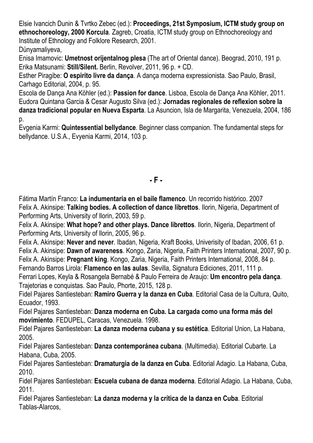Elsie Ivancich Dunin & Tvrtko Zebec (ed.): **Proceedings, 21st Symposium, ICTM study group on ethnochoreology, 2000 Korcula**. Zagreb, Croatia, ICTM study group on Ethnochoreology and Institute of Ethnology and Folklore Research, 2001. Dünyamaliyeva,

Enisa Imamovic: **Umetnost orijentalnog plesa** (The art of Oriental dance). Beograd, 2010, 191 p. Erika Matsunami: **Still/Silent.** Berlin, Revolver, 2011, 96 p. + CD.

Esther Piragibe: **O espirito livre da dança**. A dança moderna expressionista. Sao Paulo, Brasil, Carhago Editorial, 2004, p. 95.

Escola de Dança Ana Köhler (ed.): **Passion for dance**. Lisboa, Escola de Dança Ana Köhler, 2011. Eudora Quintana Garcia & Cesar Augusto Silva (ed.): **Jornadas regionales de reflexion sobre la danza tradicional popular en Nueva Esparta**. La Asuncion, Isla de Margarita, Venezuela, 2004, 186 p.

Evgenia Karmi: **Quintessential bellydance**. Beginner class companion. The fundamental steps for bellydance. U.S.A., Evyenia Karmi, 2014, 103 p.

### **- F -**

Fátima Martín Franco: **La indumentaria en el baile flamenco**. Un recorrido histórico. 2007 Felix A. Akinsipe: **Talking bodies. A collection of dance librettos**. Ilorin, Nigeria, Department of Performing Arts, University of Ilorin, 2003, 59 p.

Felix A. Akinsipe: **What hope? and other plays. Dance librettos**. Ilorin, Nigeria, Department of Performing Arts, University of Ilorin, 2005, 96 p.

Felix A. Akinsipe: **Never and never**. Ibadan, Nigeria, Kraft Books, Univerisity of Ibadan, 2006, 61 p. Felix A. Akinsipe: **Dawn of awareness**. Kongo, Zaria, Nigeria, Faith Printers International, 2007, 90 p. Felix A. Akinsipe: **Pregnant king**. Kongo, Zaria, Nigeria, Faith Printers International, 2008, 84 p. Fernando Barros Lirola: **Flamenco en las aulas**. Sevilla, Signatura Ediciones, 2011, 111 p.

Ferrari Lopes, Keyla & Rosangela Bernabé & Paulo Ferreira de Araujo: **Um encontro pela dança**. Trajetorias e conquistas. Sao Paulo, Phorte, 2015, 128 p.

Fidel Pajares Santiesteban: **Ramiro Guerra y la danza en Cuba**. Editorial Casa de la Cultura, Quito, Ecuador, 1993.

Fidel Pajares Santiesteban: **Danza moderna en Cuba. La cargada como una forma más del movimiento**. FEDUPEL, Caracas, Venezuela. 1998.

Fidel Pajares Santiesteban: **La danza moderna cubana y su estética**. Editorial Union, La Habana, 2005.

Fidel Pajares Santiesteban: **Danza contemporánea cubana**. (Multimedia). Editorial Cubarte. La Habana, Cuba, 2005.

Fidel Pajares Santiesteban: **Dramaturgia de la danza en Cuba**. Editorial Adagio. La Habana, Cuba, 2010.

Fidel Pajares Santiesteban: **Escuela cubana de danza moderna**. Editorial Adagio. La Habana, Cuba, 2011.

Fidel Pajares Santiesteban: **La danza moderna y la crítica de la danza en Cuba**. Editorial Tablas-Alarcos,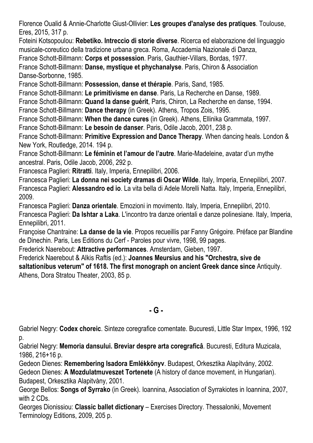Florence Oualid & Annie-Charlotte Giust-Ollivier: **Les groupes d'analyse des pratiques**. Toulouse, Eres, 2015, 317 p.

Foteini Kotsopoulou: **Rebetiko. Intreccio di storie diverse**. Ricerca ed elaborazione del linguaggio musicale-coreutico della tradizione urbana greca. Roma, Accademia Nazionale di Danza,

France Schott-Billmann: **Corps et possession**. Paris, Gauthier-Villars, Bordas, 1977.

France Schott-Billmann: **Danse, mystique et phychanalyse**. Paris, Chiron & Association Danse-Sorbonne, 1985.

France Schott-Billmann: **Possession, danse et thérapie**. Paris, Sand, 1985.

France Schott-Billmann: **Le primitivisme en danse**. Paris, La Recherche en Danse, 1989.

France Schott-Billmann: **Quand la danse guérit**, Paris, Chiron, La Recherche en danse, 1994.

France Schott-Billmann: **Dance therapy** (in Greek). Athens, Tropos Zois, 1995.

France Schott-Billmann: **When the dance cures** (in Greek). Athens, Ellinika Grammata, 1997.

France Schott-Billmann: **Le besoin de danser**. Paris, Odile Jacob, 2001, 238 p.

France Schott-Billmann: **Primitive Expression and Dance Therapy**. When dancing heals. London & New York, Routledge, 2014. 194 p.

France Schott-Billmann: **Le féminin et l'amour de l'autre**. Marie-Madeleine, avatar d'un mythe ancestral. Paris, Odile Jacob, 2006, 292 p.

Francesca Paglieri: **Ritratti**. Italy, Imperia, Ennepilibri, 2006.

Francesca Paglieri: **La donna nei society dramas di Oscar Wilde**. Italy, Imperia, Ennepilibri, 2007. Francesca Paglieri: **Alessandro ed io**. La vita bella di Adele Morelli Natta. Italy, Imperia, Ennepilibri, 2009.

Francesca Paglieri: **Danza orientale**. Emozioni in movimento. Italy, Imperia, Ennepilibri, 2010. Francesca Paglieri: **Da Ishtar a Laka**. L'incontro tra danze orientali e danze polinesiane. Italy, Imperia, Ennepilibri, 2011.

Françoise Chantraine: **La danse de la vie**. Propos recueillis par Fanny Grégoire. Préface par Blandine de Dinechin. Paris, Les Editions du Cerf - Paroles pour vivre, 1998, 99 pages.

Frederick Naerebout: **Attractive performances**. Amsterdam, Gieben, 1997.

Frederick Naerebout & Alkis Raftis (ed.): **Joannes Meursius and his "Orchestra, sive de saltationibus veterum" of 1618. The first monograph on ancient Greek dance since** Antiquity. Athens, Dora Stratou Theater, 2003, 85 p.

**- G -**

Gabriel Negry: **Codex choreic**. Sinteze coregrafice comentate. Bucuresti, Little Star Impex, 1996, 192 p.

Gabriel Negry: **Memoria dansului. Breviar despre arta coregraficâ**. Bucuresti, Editura Muzicala, 1986, 216+16 p.

Gedeon Dienes: **Remembering Isadora Emlékkönyv**. Budapest, Orkesztika Alapítvány, 2002.

Gedeon Dienes: **A Mozdulatmuveszet Tortenete** (A history of dance movement, in Hungarian). Budapest, Orkesztika Alapitvàny, 2001.

George Bellos: **Songs of Syrrako** (in Greek). Ioannina, Association of Syrrakiotes in Ioannina, 2007, with 2 CDs.

Georges Dionissiou: **Classic ballet dictionary** – Exercises Directory. Thessaloniki, Movement Terminology Editions, 2009, 205 p.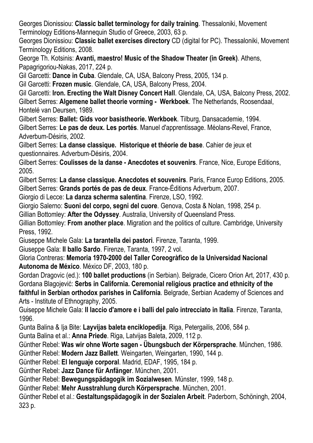Georges Dionissiou: **Classic ballet terminology for daily training**. Thessaloniki, Movement Terminology Editions-Mannequin Studio of Greece, 2003, 63 p.

Georges Dionissiou: **Classic ballet exercises directory** CD (digital for PC). Thessaloniki, Movement Terminology Editions, 2008.

George Th. Kotsinis: **Avanti, maestro! Music of the Shadow Theater (in Greek)**. Athens, Papagrigoriou-Nakas, 2017, 224 p.

Gil Garcetti: **Dance in Cuba**. Glendale, CA, USA, Balcony Press, 2005, 134 p.

Gil Garcetti: **Frozen music**. Glendale, CA, USA, Balcony Press, 2004.

Gil Garcetti: **Iron. Erecting the Walt Disney Concert Hall**. Glendale, CA, USA, Balcony Press, 2002. Gilbert Serres: **Algemene ballet theorie vorming - Werkboek**. The Netherlands, Roosendaal, Hontelé van Deursen, 1989.

Gilbert Serres: **Ballet: Gids voor basistheorie. Werkboek**. Tilburg, Dansacademie, 1994. Gilbert Serres: **Le pas de deux. Les portés**. Manuel d'apprentissage. Méolans-Revel, France, Adverbum-Désiris, 2002.

Gilbert Serres: **La danse classique. Historique et théorie de base**. Cahier de jeux et questionnaires. Adverbum-Désiris, 2004.

Gilbert Serres: **Coulisses de la danse - Anecdotes et souvenirs**. France, Nice, Europe Editions, 2005.

Gilbert Serres: **La danse classique. Anecdotes et souvenirs**. Paris, France Europ Editions, 2005. Gilbert Serres: **Grands portés de pas de deux**. France-Éditions Adverbum, 2007.

Giorgio di Lecce: **La danza scherma salentina**. Firenze, LSO, 1992.

Giorgio Salerno: **Suoni del corpo, segni del cuore**. Genova, Costa & Nolan, 1998, 254 p.

Gillian Bottomley: **After the Odyssey**. Australia, University of Queensland Press.

Gillian Bottomley: **From another place**. Migration and the politics of culture. Cambridge, University Press, 1992.

Giuseppe Michele Gala: **La tarantella dei pastori**. Firenze, Taranta, 1999.

Giuseppe Gala: **Il ballo Sardo**. Firenze, Taranta, 1997, 2 vol.

Gloria Contreras: **Memoria 1970-2000 del Taller Coreogràfico de la Universidad Nacional Autonoma de México**. México DF, 2003, 180 p.

Gordan Dragovic (ed.): **100 ballet productions** (in Serbian). Belgrade, Cicero Orion Art, 2017, 430 p. Gordana Blagojević: **Serbs in California. Ceremonial religious practice and ethnicity of the faithful in Serbian orthodox parishes in California**. Belgrade, Serbian Academy of Sciences and Arts - Institute of Ethnography, 2005.

Guiseppe Michele Gala: **Il laccio d'amore e i balli del palo intrecciato in Italia**. Firenze, Taranta, 1996.

Gunta Balina & Ija Bite: **Layvijas baleta enciklopedija**. Riga, Petergailis, 2006, 584 p.

Gunta Balina et al.: **Anna Priede**. Riga, Latvijas Baleta, 2009, 112 p.

Günther Rebel: **Was wir ohne Worte sagen - Übungsbuch der Körpersprache**. München, 1986.

Günther Rebel: **Modern Jazz Ballett**. Weingarten, Weingarten, 1990, 144 p.

Günther Rebel: **El lenguaje corporal**. Madrid, EDAF, 1995, 184 p.

Günther Rebel: **Jazz Dance für Anfänger**. München, 2001.

Günther Rebel: **Bewegungspädagogik im Sozialwesen**. Münster, 1999, 148 p.

Günther Rebel: **Mehr Ausstrahlung durch Körpersprache**. München, 2001.

Günther Rebel et al.: **Gestaltungspädagogik in der Sozialen Arbeit**. Paderborn, Schöningh, 2004, 323 p.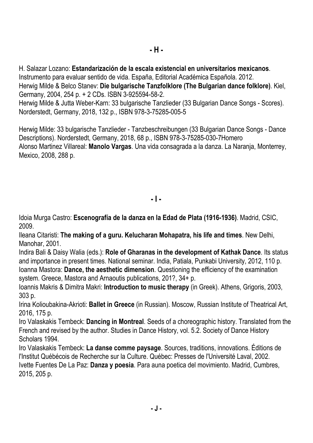H. Salazar Lozano: **Estandarización de la escala existencial en universitarios mexicanos**. Instrumento para evaluar sentido de vida. España, Editorial Académica Española. 2012. Herwig Milde & Belco Stanev: **Die bulgarische Tanzfolklore (The Bulgarian dance folklore)**. Kiel, Germany, 2004, 254 p. + 2 CDs. ISBN 3-925594-58-2. Herwig Milde & Jutta Weber-Karn: 33 bulgarische Tanzlieder (33 Bulgarian Dance Songs - Scores). Norderstedt, Germany, 2018, 132 p., ISBN 978-3-75285-005-5

Herwig Milde: 33 bulgarische Tanzlieder - Tanzbeschreibungen (33 Bulgarian Dance Songs - Dance Descriptions). Norderstedt, Germany, 2018, 68 p., ISBN 978-3-75285-030-7Homero Alonso Martinez Villareal: **Manolo Vargas**. Una vida consagrada a la danza. La Naranja, Monterrey, Mexico, 2008, 288 p.

**- I -**

Idoia Murga Castro: **Escenografía de la danza en la Edad de Plata (1916-1936)**. Madrid, CSIC, 2009.

Ileana Citaristi: **The making of a guru. Kelucharan Mohapatra, his life and times**. New Delhi, Manohar, 2001.

Indira Bali & Daisy Walia (eds.): **Role of Gharanas in the development of Kathak Dance**. Its status and importance in present times. National seminar. India, Patiala, Punkabi University, 2012, 110 p. Ioanna Mastora: **Dance, the aesthetic dimension**. Questioning the efficiency of the examination system. Greece, Mastora and Arnaoutis publications, 201?, 34+ p.

Ioannis Makris & Dimitra Makri: **Introduction to music therapy** (in Greek). Athens, Grigoris, 2003, 303 p.

Irina Kolioubakina-Akrioti: **Ballet in Greece** (in Russian). Moscow, Russian Institute of Theatrical Art, 2016, 175 p.

Iro Valaskakis Tembeck: **Dancing in Montreal**. Seeds of a choreographic history. Translated from the French and revised by the author. Studies in Dance History, vol. 5.2. Society of Dance History Scholars 1994.

Iro Valaskakis Tembeck: **La danse comme paysage**. Sources, traditions, innovations. Éditions de l'Institut Québécois de Recherche sur la Culture. Québec: Presses de l'Université Laval, 2002. Ivette Fuentes De La Paz: **Danza y poesia**. Para auna poetica del movimiento. Madrid, Cumbres, 2015, 205 p.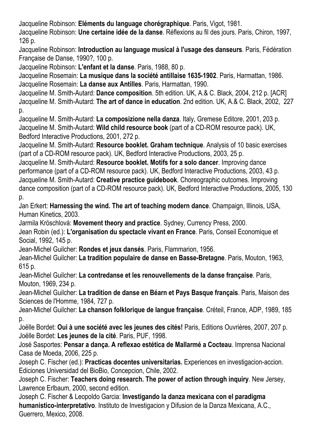Jacqueline Robinson: **Eléments du language chorégraphique**. Paris, Vigot, 1981.

Jacqueline Robinson: **Une certaine idée de la danse**. Réflexions au fil des jours. Paris, Chiron, 1997, 126 p.

Jacqueline Robinson: **Introduction au language musical à l'usage des danseurs**. Paris, Fédération Française de Danse, 1990?, 100 p.

Jacqueline Robinson: **L'enfant et la danse**. Paris, 1988, 80 p.

Jacqueline Rosemain: **La musique dans la société antillaise 1635-1902**. Paris, Harmattan, 1986. Jacqueline Rosemain: **La danse aux Antilles**. Paris, Harmattan, 1990.

Jacqueline M. Smith-Autard: **Dance composition**. 5th edition. UK, A.& C. Black, 2004, 212 p. [ACR] Jacqueline M. Smith-Autard: **The art of dance in education**. 2nd edition. UK, A.& C. Black, 2002, 227 p.

Jacqueline M. Smith-Autard: **La composizione nella danza**. Italy, Gremese Editore, 2001, 203 p. Jacqueline M. Smith-Autard: **Wild child resource book** (part of a CD-ROM resource pack). UK, Bedford Interactive Productions, 2001, 272 p.

Jacqueline M. Smith-Autard: **Resource booklet. Graham technique**. Analysis of 10 basic exercises (part of a CD-ROM resource pack). UK, Bedford Interactive Productions, 2003, 25 p.

Jacqueline M. Smith-Autard: **Resource booklet. Motifs for a solo dancer**. Improving dance performance (part of a CD-ROM resource pack). UK, Bedford Interactive Productions, 2003, 43 p. Jacqueline M. Smith-Autard: **Creative practice guidebook**. Choreographic outcomes. Improving dance composition (part of a CD-ROM resource pack). UK, Bedford Interactive Productions, 2005, 130 p.

Jan Erkert: **Harnessing the wind. The art of teaching modern dance**. Champaign, Illinois, USA, Human Kinetics, 2003.

Jarmila Kröschlová: **Movement theory and practice**. Sydney, Currency Press, 2000.

Jean Robin (ed.): **L'organisation du spectacle vivant en France**. Paris, Conseil Economique et Social, 1992, 145 p.

Jean-Michel Guilcher: **Rondes et jeux dansés**. Paris, Flammarion, 1956.

Jean-Michel Guilcher: **La tradition populaire de danse en Basse-Bretagne**. Paris, Mouton, 1963, 615 p.

Jean-Michel Guilcher: **La contredanse et les renouvellements de la danse française**. Paris, Mouton, 1969, 234 p.

Jean-Michel Guilcher: **La tradition de danse en Béarn et Pays Basque français**. Paris, Maison des Sciences de l'Homme, 1984, 727 p.

Jean-Michel Guilcher: **La chanson folklorique de langue française**. Créteil, France, ADP, 1989, 185 p.

Joëlle Bordet: **Oui à une société avec les jeunes des cités!** Paris, Editions Ouvrières, 2007, 207 p. Joëlle Bordet: **Les jeunes de la cité**. Paris, PUF, 1998.

José Sasportes: **Pensar a dança. A reflexao estética de Mallarmé a Cocteau**. Imprensa Nacional Casa de Moeda, 2006, 225 p.

Joseph C. Fischer (ed.): **Practicas docentes universitarias.** Experiences en investigacion-accion. Ediciones Universidad del BioBio, Concepcion, Chile, 2002.

Joseph C. Fischer: **Teachers doing research. The power of action through inquiry**. New Jersey, Lawrence Erlbaum, 2000, second edition.

Joseph C. Fischer & Leopoldo Garcia: **Investigando la danza mexicana con el paradigma humanistico-interpretativo**. Instituto de Investigacion y Difusion de la Danza Mexicana, A.C., Guerrero, Mexico, 2008.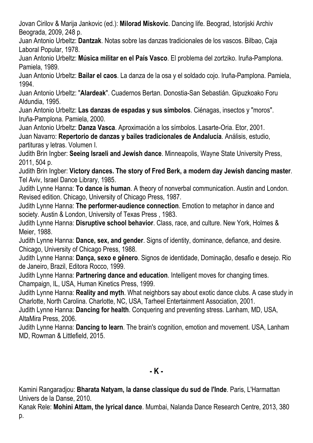Jovan Cirilov & Marija Jankovic (ed.): **Milorad Miskovic**. Dancing life. Beograd, Istorijski Archiv Beograda, 2009, 248 p.

Juan Antonio Urbeltz: **Dantzak**. Notas sobre las danzas tradicionales de los vascos. Bilbao, Caja Laboral Popular, 1978.

Juan Antonio Urbeltz: **Música militar en el País Vasco**. El problema del zortziko. Iruña-Pamplona. Pamiela, 1989.

Juan Antonio Urbeltz: **Bailar el caos**. La danza de la osa y el soldado cojo. Iruña-Pamplona. Pamiela, 1994.

Juan Antonio Urbeltz: "**Alardeak**". Cuadernos Bertan. Donostia-San Sebastián. Gipuzkoako Foru Aldundia, 1995.

Juan Antonio Urbeltz: **Las danzas de espadas y sus símbolos**. Ciénagas, insectos y "moros". Iruña-Pamplona. Pamiela, 2000.

Juan Antonio Urbeltz: **Danza Vasca**. Aproximación a los símbolos. Lasarte-Oria. Etor, 2001. Juan Navarro: **Repertorio de danzas y bailes tradicionales de Andalucía**. Análisis, estudio, partituras y letras. Volumen I.

Judith Brin Ingber: **Seeing Israeli and Jewish dance**. Minneapolis, Wayne State University Press, 2011, 504 p.

Judith Brin Ingber: **Victory dances. The story of Fred Berk, a modern day Jewish dancing master**. Tel Aviv, Israel Dance Library, 1985.

Judith Lynne Hanna: **To dance is human**. A theory of nonverbal communication. Austin and London. Revised edition. Chicago, University of Chicago Press, 1987.

Judith Lynne Hanna: **The performer-audience connection**. Emotion to metaphor in dance and society. Austin & London, University of Texas Press , 1983.

Judith Lynne Hanna: **Disruptive school behavior**. Class, race, and culture. New York, Holmes & Meier, 1988.

Judith Lynne Hanna: **Dance, sex, and gender**. Signs of identity, dominance, defiance, and desire. Chicago, University of Chicago Press, 1988.

Judith Lynne Hanna: **Dança, sexo e gênero**. Signos de identidade, Dominação, desafio e desejo. Rio de Janeiro, Brazil, Editora Rocco, 1999.

Judith Lynne Hanna: **Partnering dance and education**. Intelligent moves for changing times. Champaign, IL, USA, Human Kinetics Press, 1999.

Judith Lynne Hanna: **Reality and myth**. What neighbors say about exotic dance clubs. A case study in Charlotte, North Carolina. Charlotte, NC, USA, Tarheel Entertainment Association, 2001.

Judith Lynne Hanna: **Dancing for health**. Conquering and preventing stress. Lanham, MD, USA, AltaMira Press, 2006.

Judith Lynne Hanna: **Dancing to learn**. The brain's cognition, emotion and movement. USA, Lanham MD, Rowman & Littlefield, 2015.

**- K -**

Kamini Rangaradjou: **Bharata Natyam, la danse classique du sud de l'Inde**. Paris, L'Harmattan Univers de la Danse, 2010.

Kanak Rele: **Mohini Attam, the lyrical dance**. Mumbai, Nalanda Dance Research Centre, 2013, 380 p.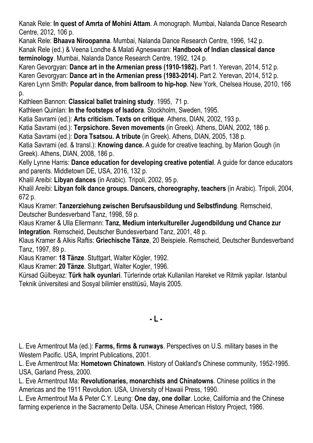Kanak Rele: **In quest of Amrta of Mohini Attam**. A monograph. Mumbai, Nalanda Dance Research Centre, 2012, 106 p.

Kanak Rele: **Bhaava Niroopanna**. Mumbai, Nalanda Dance Research Centre, 1996, 142 p. Kanak Rele (ed.) & Veena Londhe & Malati Agneswaran: **Handbook of Indian classical dance terminology**. Mumbai, Nalanda Dance Research Centre, 1992, 124 p.

Karen Gevorgyan: **Dance art in the Armenian press (1910-1982).** Part 1. Yerevan, 2014, 512 p.

Karen Gevorgyan: **Dance art in the Armenian press (1983-2014).** Part 2. Yerevan, 2014, 512 p.

Karen Lynn Smith: **Popular dance, from ballroom to hip-hop**. New York, Chelsea House, 2010, 166 p.

Kathleen Bannon: **Classical ballet training study**. 1995, 71 p.

Kathleen Quinlan: **In the footsteps of Isadora**. Stockholm, Sweden, 1995.

Katia Savrami (ed.): **Arts criticism. Texts on critique**. Athens, DIAN, 2002, 193 p.

Katia Savrami (ed.): **Terpsichore. Seven movements** (in Greek). Athens, DIAN, 2002, 186 p.

Katia Savrami (ed.): **Dora Tsatsou. A tribute** (in Greek). Athens, DIAN, 2005, 138 p.

Katia Savrami (ed. & transl.): **Knowing dance.** A guide for creative teaching, by Marion Gough (in Greek). Athens, DIAN, 2008, 186 p.

Kelly Lynne Harris: **Dance education for developing creative potential**. A guide for dance educators and parents. Middletown DE, USA, 2016, 132 p.

Khalil Areibi: **Libyan dances** (in Arabic). Tripoli, 2002, 95 p.

Khalil Areibi: **Libyan folk dance groups. Dancers, choreography, teachers** (in Arabic). Tripoli, 2004, 672 p.

Klaus Kramer: **Tanzerziehung zwischen Berufsausbildung und Selbstfindung**. Remscheid, Deutscher Bundesverband Tanz, 1998, 59 p.

Klaus Kramer & Ulla Ellermann: **Tanz, Medium interkultureller Jugendbildung und Chance zur Integration**. Remscheid, Deutscher Bundesverband Tanz, 2001, 48 p.

Klaus Kramer & Alkis Raftis: **Griechische Tänze**, 20 Beispiele. Remscheid, Deutscher Bundesverband Tanz, 1997, 89 p.

Klaus Kramer: **18 Tänze**. Stuttgart, Walter Kögler, 1992.

Klaus Kramer: **20 Tänze**. Stuttgart, Walter Kogler, 1996.

Kürsad Gülbeyaz: **Türk halk oyunlari**. Türlerinde ortak Kullanilan Hareket ve Ritmik yapilar. Istanbul Teknik üniversitesi and Sosyal bilimler enstitüsü, Mayis 2005.

**- L -**

L. Eve Armentrout Ma (ed.): **Farms, firms & runways**. Perspectives on U.S. military bases in the Western Pacific. USA, Imprint Publications, 2001.

L. Eve Armentrout Ma: **Hometown Chinatown**. History of Oakland's Chinese community, 1952-1995. USA, Garland Press, 2000.

L. Eve Armentrout Ma: **Revolutionaries, monarchists and Chinatowns**. Chinese politics in the Americas and the 1911 Revolution. USA, University of Hawaii Press, 1990.

L. Eve Armentrout Ma & Peter C.Y. Leung: **One day, one dollar**. Locke, California and the Chinese farming experience in the Sacramento Delta. USA, Chinese American History Project, 1986.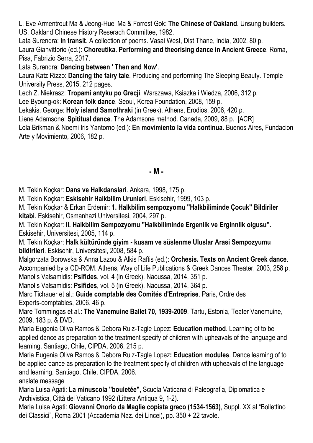L. Eve Armentrout Ma & Jeong-Huei Ma & Forrest Gok: **The Chinese of Oakland**. Unsung builders. US, Oakland Chinese History Reserach Committee, 1982.

Lata Surendra: **In transit**. A collection of poems. Vasai West, Dist Thane, India, 2002, 80 p. Laura Gianvittorio (ed.): **Choreutika. Performing and theorising dance in Ancient Greece**. Roma, Pisa, Fabrizio Serra, 2017.

Lata Surendra: **Dancing between ' Then and Now'**.

Laura Katz Rizzo: **Dancing the fairy tale**. Producing and performing The Sleeping Beauty. Temple University Press, 2015, 212 pages.

Lech Z. Niekrasz: **Tropami antyku po Grecji**. Warszawa, Ksiazka i Wiedza, 2006, 312 p.

Lee Byoung-ok: **Korean folk dance**. Seoul, Korea Foundation, 2008, 159 p.

Lekakis, George: **Holy island Samothraki** (in Greek). Athens, Erodios, 2006, 420 p.

Liene Adamsone: **Spititual dance**. The Adamsone method. Canada, 2009, 88 p. [ACR]

Lola Brikman & Noemi Iris Yantorno (ed.): **En movimiento la vida continua**. Buenos Aires, Fundacion Arte y Movimiento, 2006, 182 p.

### **- M -**

M. Tekin Koçkar: **Dans ve Halkdanslari**. Ankara, 1998, 175 p.

M. Tekin Koçkar: **Eskisehir Halkbilim Urunleri**. Eskisehir, 1999, 103 p.

M. Tekin Koçkar & Erkan Erdemir: **1. Halkbilim sempozyomu "Halkbiliminde Çocuk" Bildiriler kitabi**. Eskisehir, Osmanhazi Universitesi, 2004, 297 p.

M. Tekin Koçkar: **II. Halkbilim Sempozyomu "Halkbiliminde Ergenlik ve Erginnlik olgusu".** Eskisehir, Universitesi, 2005, 114 p.

M. Tekin Koçkar: **Halk kültüründe giyim - kusam ve süslenme Uluslar Arasi Sempozyumu bildirileri**. Eskisehir, Universitesi, 2008, 584 p.

Malgorzata Borowska & Anna Lazou & Alkis Raftis (ed.): **Orchesis. Texts on Ancient Greek dance**. Accompanied by a CD-ROM. Athens, Way of Life Publications & Greek Dances Theater, 2003, 258 p. Manolis Valsamidis: **Psifides**, vol. 4 (in Greek). Naoussa, 2014, 351 p.

Manolis Valsamidis: **Psifides**, vol. 5 (in Greek). Naoussa, 2014, 364 p.

Marc Tichauer et al.: **Guide comptable des Comités d'Entreprise**. Paris, Ordre des Experts-comptables, 2006, 46 p.

Mare Tommingas et al.: **The Vanemuine Ballet 70, 1939-2009**. Tartu, Estonia, Teater Vanemuine, 2009, 183 p. & DVD.

Maria Eugenia Oliva Ramos & Debora Ruiz-Tagle Lopez: **Education method**. Learning of to be applied dance as preparation to the treatment specify of children with upheavals of the language and learning. Santiago, Chile, CIPDA, 2006, 215 p.

Maria Eugenia Oliva Ramos & Debora Ruiz-Tagle Lopez**: Education modules**. Dance learning of to be applied dance as preparation to the treatment specify of children with upheavals of the language and learning. Santiago, Chile, CIPDA, 2006.

anslate message

Maria Luisa Agati: **La minuscola "bouletée",** Scuola Vaticana di Paleografia, Diplomatica e Archivistica, Città del Vaticano 1992 (Littera Antiqua 9, 1-2).

Maria Luisa Agati: **Giovanni Onorio da Maglie copista greco (1534-1563)**, Suppl. XX al "Bollettino dei Classici", Roma 2001 (Accademia Naz. dei Lincei), pp. 350 + 22 tavole.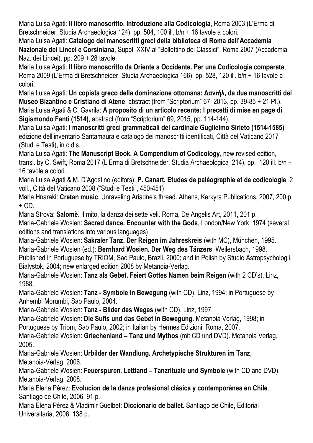Maria Luisa Agati: **Il libro manoscritto. Introduzione alla Codicologia**, Roma 2003 (L'Erma di Bretschneider, Studia Archaeologica 124), pp. 504, 100 ill. b/n + 16 tavole a colori.

Maria Luisa Agati: **Catalogo dei manoscritti greci della biblioteca di Roma dell'Accademia Nazionale dei Lincei e Corsiniana**, Suppl. XXIV al "Bollettino dei Classici", Roma 2007 (Accademia Naz. dei Lincei), pp. 209 + 28 tavole.

Maria Luisa Agati: **Il libro manoscritto da Oriente a Occidente. Per una Codicologia comparata**, Roma 2009 (L'Erma di Bretschneider, Studia Archaeologica 166), pp. 528, 120 ill. b/n + 16 tavole a colori.

Maria Luisa Agati: **Un copista greco della dominazione ottomana: Δανι**ή**λ, da due manoscritti del Museo Bizantino e Cristiano di Atene**, abstract (from "Scriptorium" 67, 2013, pp. 39-85 + 21 Pl.). Maria Luisa Agati & C. Gavrila: **A proposito di un articolo recente: I precetti di mise en page di Sigismondo Fanti (1514)**, abstract (from "Scriptorium" 69, 2015, pp. 114-144).

Maria Luisa Agati: **I manoscritti greci grammaticali del cardinale Guglielmo Sirleto (1514-1585)** edizione dell'inventario Santamaura e catalogo dei manoscritti identificati, Città del Vaticano 2017 (Studi e Testi), in c.d.s.

Maria Luisa Agati: **The Manuscript Book. A Compendium of Codicology**, new revised edition, transl. by C. Swift, Roma 2017 (L'Erma di Bretschneider, Studia Archaeologica 214), pp. 120 ill. b/n + 16 tavole a colori.

Maria Luisa Agati & M. D'Agostino (editors): **P. Canart, Etudes de paléographie et de codicologie**, 2 voll., Città del Vaticano 2008 ("Studi e Testi", 450-451)

Maria Hnaraki: **Cretan music**. Unraveling Ariadne's thread. Athens, Kerkyra Publications, 2007, 200 p.  $+$  CD.

Maria Strova: **Salomè**. Il mito, la danza dei sette veli. Roma, De Angelis Art, 2011, 201 p.

Maria-Gabriele Wosien: **Sacred dance. Encounter with the Gods**, London/New York, 1974 (several editions and translations into various languages)

Maria-Gabriele Wosien: **Sakraler Tanz. Der Reigen im Jahreskreis** (with MC), München, 1995. Maria-Gabriele Wosien (ed.): **Bernhard Wosien. Der Weg des Tänzers**. Weilersbach, 1998.

Published in Portuguese by TRIOM, Sao Paulo, Brazil, 2000; and in Polish by Studio Astropsychologii, Bialystok, 2004; new enlarged edition 2008 by Metanoia-Verlag.

Maria-Gabriele Wosien: **Tanz als Gebet. Feiert Gottes Namen beim Reigen** (with 2 CD's). Linz, 1988.

Maria-Gabriele Wosien: **Tanz - Symbole in Bewegung** (with CD). Linz, 1994; in Portuguese by Anhembi Morumbi, Sao Paulo, 2004.

Maria-Gabriele Wosien: **Tanz - Bilder des Weges** (with CD). Linz, 1997.

Maria-Gabriele Wosien: **Die Sufis und das Gebet in Bewegung**. Metanoia Verlag, 1998; in Portuguese by Triom, Sao Paulo, 2002; in Italian by Hermes Edizioni, Roma, 2007.

Maria-Gabriele Wosien: **Griechenland – Tanz und Mythos** (mit CD und DVD). Metanoia Verlag, 2005.

Maria-Gabriele Wosien: **Urbilder der Wandlung. Archetypische Strukturen im Tanz**, Metanoia-Verlag, 2006.

Maria-Gabriele Wosien: **Feuerspuren. Lettland – Tanzrituale und Symbole** (with CD and DVD). Metanoia-Verlag, 2008.

Maria Elena Pérez: **Evolucion de la danza profesional clàsica y contemporànea en Chile**. Santiago de Chile, 2006, 91 p.

Maria Elena Pérez & Vladimir Guelbet: **Diccionario de ballet**. Santiago de Chile, Editorial Universitaria, 2006, 138 p.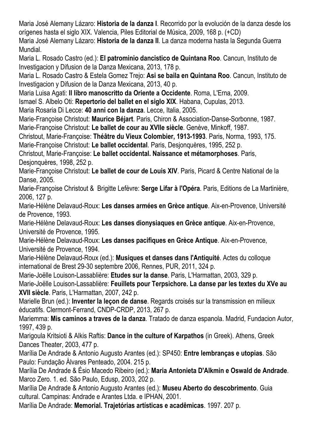Maria José Alemany Lázaro: **Historia de la danza I**. Recorrido por la evolución de la danza desde los orígenes hasta el siglo XIX. Valencia, Piles Editorial de Música, 2009, 168 p. (+CD) Maria José Alemany Lázaro: **Historia de la danza II**. La danza moderna hasta la Segunda Guerra Mundial.

Maria L. Rosado Castro (ed.): **El patrominio dancistico de Quintana Roo**. Cancun, Instituto de Investigacion y Difusion de la Danza Mexicana, 2013, 178 p.

Maria L. Rosado Castro & Estela Gomez Trejo: **Asi se baila en Quintana Roo**. Cancun, Instituto de Investigacion y Difusion de la Danza Mexicana, 2013, 40 p.

Maria Luisa Agati: **Il libro manoscritto da Oriente a Occidente**. Roma, L'Erna, 2009.

Ismael S. Albelo Oti: **Repertorio del ballet en el siglo XIX**. Habana, Cupulas, 2013.

Maria Rosaria Di Lecce: **40 anni con la danza**. Lecce, Italia, 2005.

Marie-Françoise Christout: **Maurice Béjart**. Paris, Chiron & Association-Danse-Sorbonne, 1987. Marie-Françoise Christout: **Le ballet de cour au XVIIe siècle**. Genève, Minkoff, 1987.

Christout, Marie-Françoise: **Théâtre du Vieux Colombier, 1913-1993**. Paris, Norma, 1993, 175. Marie-Françoise Christout: **Le ballet occidental**. Paris, Desjonquères, 1995, 252 p.

Christout, Marie-Françoise: **Le ballet occidental. Naissance et métamorphoses**. Paris, Desjonquères, 1998, 252 p.

Marie-Françoise Christout: **Le ballet de cour de Louis XIV**. Paris, Picard & Centre National de la Danse, 2005.

Marie-Françoise Christout & Brigitte Lefèvre: **Serge Lifar à l'Opéra**. Paris, Editions de La Martinière, 2006, 127 p.

Marie-Hélène Delavaud-Roux: **Les danses armées en Grèce antique**. Aix-en-Provence, Université de Provence, 1993.

Marie-Hélène Delavaud-Roux: **Les danses dionysiaques en Grèce antique**. Aix-en-Provence, Université de Provence, 1995.

Marie-Hélène Delavaud-Roux: **Les danses pacifiques en Grèce Antique**. Aix-en-Provence, Université de Provence, 1994.

Marie-Hélène Delavaud-Roux (ed.): **Musiques et danses dans l'Antiquité**. Actes du colloque international de Brest 29-30 septembre 2006, Rennes, PUR, 2011, 324 p.

Marie-Joëlle Louison-Lassablière: **Etudes sur la danse**. Paris, L'Harmattan, 2003, 329 p.

Marie-Joëlle Louison-Lassablière: **Feuillets pour Terpsichore. La danse par les textes du XVe au XVII siècle**. Paris, L'Harmattan, 2007, 242 p.

Marielle Brun (ed.): **Inventer la leçon de danse**. Regards croisés sur la transmission en milieux éducatifs. Clermont-Ferrand, CNDP-CRDP, 2013, 267 p.

Mariemma: **Mis caminos a traves de la danza**. Tratado de danza espanola. Madrid, Fundacion Autor, 1997, 439 p.

Marigoula Kritsioti & Alkis Raftis: **Dance in the culture of Karpathos** (in Greek). Athens, Greek Dances Theater, 2003, 477 p.

Marília De Andrade & Antonio Augusto Arantes (ed.): SP450: **Entre lembranças e utopias**. São Paulo: Fundação Álvares Penteado, 2004. 215 p.

Marília De Andrade & Ésio Macedo Ribeiro (ed.): **Maria Antonieta D'Alkmin e Oswald de Andrade**. Marco Zero. 1. ed. São Paulo, Edusp, 2003, 202 p.

Marília De Andrade & Antonio Augusto Arantes (ed.): **Museu Aberto do descobrimento**. Guia cultural. Campinas: Andrade e Arantes Ltda. e IPHAN, 2001.

Marília De Andrade: **Memorial. Trajetórias artísticas e acadêmicas**. 1997. 207 p.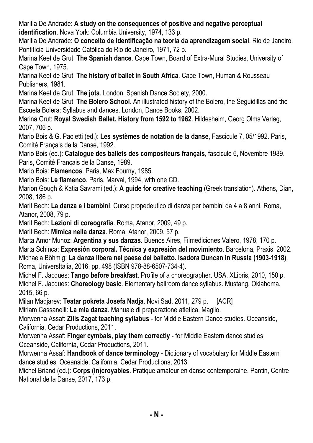Marília De Andrade: **A study on the consequences of positive and negative perceptual identification**. Nova York: Columbia University, 1974, 133 p.

Marília De Andrade: **O conceito de identificação na teoria da aprendizagem social**. Rio de Janeiro, Pontifícia Universidade Católica do Rio de Janeiro, 1971, 72 p.

Marina Keet de Grut: **The Spanish dance**. Cape Town, Board of Extra-Mural Studies, University of Cape Town, 1975.

Marina Keet de Grut: **The history of ballet in South Africa**. Cape Town, Human & Rousseau Publishers, 1981.

Marina Keet de Grut: **The jota**. London, Spanish Dance Society, 2000.

Marina Keet de Grut: **The Bolero School**. An illustrated history of the Bolero, the Seguidillas and the Escuela Bolera: Syllabus and dances. London, Dance Books, 2002.

Marina Grut: **Royal Swedish Ballet. History from 1592 to 1962**. Hildesheim, Georg Olms Verlag, 2007, 706 p.

Mario Bois & G. Paoletti (ed.): **Les systèmes de notation de la danse**, Fascicule 7, 05/1992. Paris, Comité Français de la Danse, 1992.

Mario Bois (ed.): **Catalogue des ballets des compositeurs français**, fascicule 6, Novembre 1989. Paris, Comité Français de la Danse, 1989.

Mario Bois: **Flamencos**. Paris, Max Fourny, 1985.

Mario Bois: **Le flamenco**. Paris, Marval, 1994, with one CD.

Marion Gough & Katia Savrami (ed.): **A guide for creative teaching** (Greek translation). Athens, Dian, 2008, 186 p.

Marit Bech: **La danza e i bambini**. Curso propedeutico di danza per bambini da 4 a 8 anni. Roma, Atanor, 2008, 79 p.

Marit Bech: **Lezioni di coreografia**. Roma, Atanor, 2009, 49 p.

Marit Bech: **Mimica nella danza**. Roma, Atanor, 2009, 57 p.

Marta Amor Munoz: **Argentina y sus danzas**. Buenos Aires, Filmediciones Valero, 1978, 170 p. Marta Schinca: **Expresión corporal. Técnica y expresión del movimiento**. Barcelona, Praxis, 2002. Michaela Böhmig: **La danza libera nel paese del balletto. Isadora Duncan in Russia (1903-1918)**. Roma, UniversItalia, 2016, pp. 498 (ISBN 978-88-6507-734-4).

Michel F. Jacques: **Tango before breakfast**. Profile of a choreographer. USA, XLibris, 2010, 150 p. Michel F. Jacques: **Choreology basic**. Elementary ballroom dance syllabus. Mustang, Oklahoma, 2015, 66 p.

Milan Madjarev: **Teatar pokreta Josefa Nadja**. Novi Sad, 2011, 279 p. [ACR]

Miriam Cassanelli: **La mia danza**. Manuale di preparazione atletica. Maglio.

Morwenna Assaf: **Zills Zagat teaching syllabus** - for Middle Eastern Dance studies. Oceanside, California, Cedar Productions, 2011.

Morwenna Assaf: **Finger cymbals, play them correctly** - for Middle Eastern dance studies. Oceanside, California, Cedar Productions, 2011.

Morwenna Assaf: **Handbook of dance terminology** - Dictionary of vocabulary for Middle Eastern dance studies. Oceanside, California, Cedar Productions, 2013.

Michel Briand (ed.): **Corps (in)croyables**. Pratique amateur en danse contemporaine. Pantin, Centre National de la Danse, 2017, 173 p.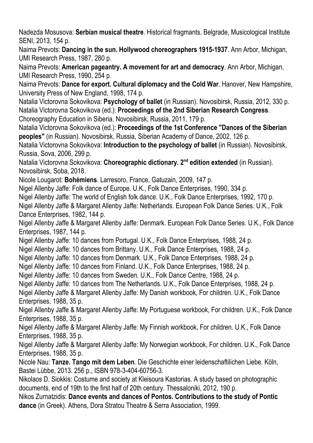Nadezda Mosusova: **Serbian musical theatre**. Historical fragmants. Belgrade, Musicological Institute SENI, 2013, 154 p.

Naima Prevots: **Dancing in the sun. Hollywood choreographers 1915-1937**. Ann Arbor, Michigan, UMI Research Press, 1987, 280 p.

Naima Prevots: **American pageantry. A movement for art and democracy**. Ann Arbor, Michigan, UMI Research Press, 1990, 254 p.

Naima Prevots: **Dance for export. Cultural diplomacy and the Cold War**. Hanover, New Hampshire, University Press of New England, 1998, 174 p.

Natalia Victorovna Sokovikova: **Psychology of ballet** (in Russian). Novosibirsk, Russia, 2012, 330 p. Natalia Victorovna Sokovikova (ed.): **Proceedings of the 2nd Siberian Research Congress**.

Choreography Education in Siberia. Novosibirsk, Russia, 2011, 179 p.

Natalia Victorovna Sokovikova (ed.): **Proceedings of the 1st Conference "Dances of the Siberian peoples"** (in Russian). Novosibirsk, Russia, Siberian Academy of Dance, 2002, 126 p.

Natalia Victorovna Sokovikova: **Introduction to the psychology of ballet** (in Russian). Novosibirsk, Russia, Sova, 2006, 299 p.

Natalia Victorovna Sokovikova: **Choreographic dictionary. 2 nd edition extended** (in Russian). Novosibirsk, Soba, 2018.

Nicole Lougarot: **Bohémiens**. Larresoro, France, Gatuzain, 2009, 147 p.

Nigel Allenby Jaffe: Folk dance of Europe. U.K., Folk Dance Enterprises, 1990, 334 p.

Nigel Allenby Jaffe: The world of English folk dance. U.K., Folk Dance Enterprises, 1992, 170 p.

Nigel Allenby Jaffe & Margaret Allenby Jaffe: Netherlands. European Folk Dance Series. U.K., Folk Dance Enterprises, 1982, 144 p.

Nigel Allenby Jaffe & Margaret Allenby Jaffe: Denmark. European Folk Dance Series. U.K., Folk Dance Enterprises, 1987, 144 p.

Nigel Allenby Jaffe: 10 dances from Portugal. U.K., Folk Dance Enterprises, 1988, 24 p.

Nigel Allenby Jaffe: 10 dances from Brittany. U.K., Folk Dance Enterprises, 1988, 24 p.

Nigel Allenby Jaffe: 10 dances from Denmark. U.K., Folk Dance Enterprises, 1988, 24 p.

Nigel Allenby Jaffe: 10 dances from Finland. U.K., Folk Dance Enterprises, 1988, 24 p.

Nigel Allenby Jaffe: 10 dances from Sweden. U.K., Folk Dance Centre, 1988, 24 p.

Nigel Allenby Jaffe: 10 dances from The Netherlands. U.K., Folk Dance Enterprises, 1988, 24 p.

Nigel Allenby Jaffe & Margaret Allenby Jaffe: My Danish workbook, For children. U.K., Folk Dance Enterprises, 1988, 35 p.

Nigel Allenby Jaffe & Margaret Allenby Jaffe: My Portuguese workbook, For children. U.K., Folk Dance Enterprises, 1988, 35 p.

Nigel Allenby Jaffe & Margaret Allenby Jaffe: My Finnish workbook, For children. U.K., Folk Dance Enterprises, 1988, 35 p.

Nigel Allenby Jaffe & Margaret Allenby Jaffe: My Norwegian workbook, For children. U.K., Folk Dance Enterprises, 1988, 35 p.

Nicole Nau: **Tanze. Tango mit dem Leben**. Die Geschichte einer leidenschaftilichen Liebe. Köln, Bastei Lübbe, 2013. 256 p., ISBN 978-3-404-60756-3.

Nikolaos D. Siokkis: Costume and society at Kleisoura Kastorias. A study based on photographic documents, end of 19th to the first half of 20th century. Thessaloniki, 2012, 190 p.

Nikos Zurnatzidis: **Dance events and dances of Pontos. Contributions to the study of Pontic dance** (in Greek). Athens, Dora Stratou Theatre & Serra Association, 1999.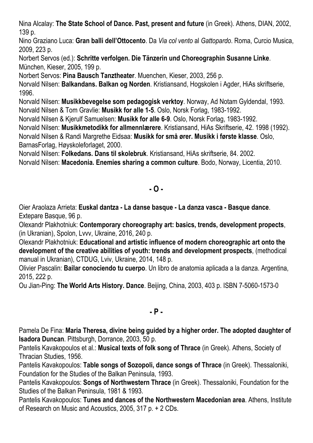Nina Alcalay: **The State School of Dance. Past, present and future** (in Greek). Athens, DIAN, 2002, 139 p.

Nino Graziano Luca: **Gran balli dell'Ottocento**. Da *Via col vento* al *Gattopardo*. Roma, Curcio Musica, 2009, 223 p.

Norbert Servos (ed.): **Schritte verfolgen. Die Tänzerin und Choreographin Susanne Linke**. München, Kieser, 2005, 199 p.

Norbert Servos: **Pina Bausch Tanztheater**. Muenchen, Kieser, 2003, 256 p.

Norvald Nilsen: **Balkandans. Balkan og Norden**. Kristiansand, Hogskolen i Agder, HiAs skriftserie, 1996.

Norvald Nilsen: **Musikkbevegelse som pedagogisk verktoy**. Norway, Ad Notam Gyldendal, 1993. Norvald Nilsen & Tom Gravlie: **Musikk for alle 1-5**. Oslo, Norsk Forlag, 1983-1992.

Norvald Nilsen & Kjerulf Samuelsen: **Musikk for alle 6-9**. Oslo, Norsk Forlag, 1983-1992.

Norvald Nilsen: **Musikkmetodikk for allmennlærere**. Kristiansand, HiAs Skriftserie, 42. 1998 (1992).

Norvald Nilsen & Randi Margrethe Eidsaa: **Musikk for små ører. Musikk i første klasse**. Oslo, BarnasForlag, Høyskoleforlaget, 2000.

Norvald Nilsen: **Folkedans. Dans til skolebruk**. Kristiansand, HiAs skriftserie, 84. 2002.

Norvald Nilsen: **Macedonia. Enemies sharing a common culture**. Bodo, Norway, Licentia, 2010.

### **- O -**

Oier Araolaza Arrieta: **Euskal dantza - La danse basque - La danza vasca - Basque dance**. Extepare Basque, 96 p.

Olexandr Plakhotniuk: **Contemporary choreography art: basics, trends, development propects**, (in Ukranian), Spolon, Lvvv, Ukraine, 2016, 240 p.

Olexandr Plakhotniuk: **Educational and artistic influence of modern choreographic art onto the development of the creative abilities of youth: trends and development prospects**, (methodical manual in Ukranian), CTDUG, Lviv, Ukraine, 2014, 148 p.

Olivier Pascalin: **Bailar conociendo tu cuerpo**. Un libro de anatomia aplicada a la danza. Argentina, 2015, 222 p.

Ou Jian-Ping: **The World Arts History. Dance**. Beijing, China, 2003, 403 p. ISBN 7-5060-1573-0

#### **- P -**

Pamela De Fina: **Maria Theresa, divine being guided by a higher order. The adopted daughter of Isadora Duncan**. Pittsburgh, Dorrance, 2003, 50 p.

Pantelis Kavakopoulos et al.: **Musical texts of folk song of Thrace** (in Greek). Athens, Society of Thracian Studies, 1956.

Pantelis Kavakopoulos: **Table songs of Sozopoli, dance songs of Thrace** (in Greek). Thessaloniki, Foundation for the Studies of the Balkan Peninsula, 1993.

Pantelis Kavakopoulos: **Songs of Northwestern Thrace** (in Greek). Thessaloniki, Foundation for the Studies of the Balkan Peninsula, 1981 & 1993.

Pantelis Kavakopoulos: **Tunes and dances of the Northwestern Macedonian area**. Athens, Institute of Research on Music and Acoustics, 2005, 317 p. + 2 CDs.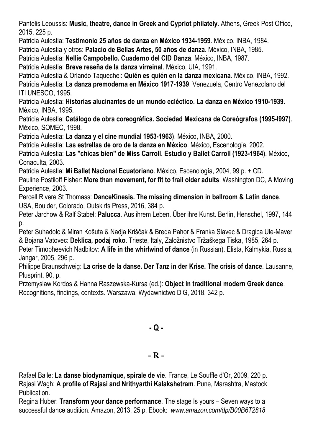Pantelis Leoussis: **Music, theatre, dance in Greek and Cypriot philately**. Athens, Greek Post Office, 2015, 225 p.

Patricia Aulestia: **Testimonio 25 años de danza en México 1934-1959**. México, INBA, 1984.

Patricia Aulestia y otros: **Palacio de Bellas Artes, 50 años de danza**. México, INBA, 1985.

Patricia Aulestia: **Nellie Campobello. Cuaderno del CID Danza**. México, INBA, 1987.

Patricia Aulestia: **Breve reseña de la danza virreinal**. México, UIA, 1991.

Patricia Aulestia & Orlando Taquechel: **Quién es quién en la danza mexicana**. México, INBA, 1992. Patricia Aulestia: **La danza premoderna en México 1917-1939**. Venezuela, Centro Venezolano del ITI UNESCO, 1995.

Patricia Aulestia: **Historias alucinantes de un mundo ecléctico. La danza en México 1910-1939**. México, INBA, 1995.

Patricia Aulestia: **Catálogo de obra coreográfica. Sociedad Mexicana de Coreógrafos (1995-l997)**. México, SOMEC, 1998.

Patricia Aulestia: **La danza y el cine mundial 1953-1963)**. México, INBA, 2000.

Patricia Aulestia: **Las estrellas de oro de la danza en México**. México, Escenología, 2002.

Patricia Aulestia: **Las "chicas bien" de Miss Carroll. Estudio y Ballet Carroll (1923-1964)**. México, Conaculta, 2003.

Patricia Aulestia: **Mi Ballet Nacional Ecuatoriano**. México, Escenología, 2004, 99 p. + CD.

Pauline Postiloff Fisher: **More than movement, for fit to frail older adults**. Washington DC, A Moving Experience, 2003.

Percell Rivere St Thomass: **DanceKinesis. Τhe missing dimension in ballroom & Latin dance**. USA, Boulder, Colorado, Outskirts Press, 2016, 384 p.

Peter Jarchow & Ralf Stabel: **Palucca**. Aus ihrem Leben. Über ihre Kunst. Berlin, Henschel, 1997, 144 p.

Peter Suhadolc & Miran Košuta & Nadja Kriščak & Breda Pahor & Franka Slavec & Dragica Ule-Maver & Bojana Vatovec: **Deklica, podaj roko**. Trieste, Italy, Založnistvo Tržaškega Tiska, 1985, 264 p.

Peter Timopheevich Nadbitov: **A life in the whirlwind of dance** (in Russian). Elista, Kalmykia, Russia, Jangar, 2005, 296 p.

Philippe Braunschweig: **La crise de la danse. Der Tanz in der Krise. The crisis of dance**. Lausanne, Plusprint, 90, p.

Przemyslaw Kordos & Hanna Raszewska-Kursa (ed.): **Object in traditional modern Greek dance**. Recognitions, findings, contexts. Warszawa, Wydawnictwo DiG, 2018, 342 p.

**- Q -**

### **- R -**

Rafael Baile: **La danse biodynamique, spirale de vie**. France, Le Souffle d'Or, 2009, 220 p. Rajasi Wagh: **A profile of Rajasi and Nrithyarthi Kalakshetram**. Pune, Marashtra, Mastock Publication.

Regina Huber: **Transform your dance performance**. The stage Is yours – Seven ways to a successful dance audition. Amazon, 2013, 25 p. Ebook: *www.amazon.com/dp/B00B6T2818*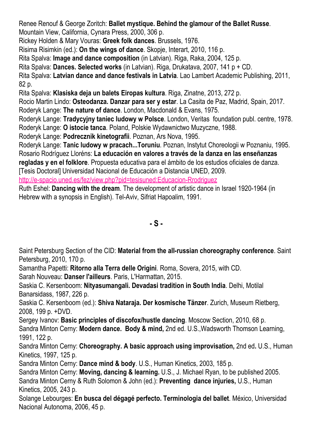Renee Renouf & George Zoritch: **Ballet mystique. Behind the glamour of the Ballet Russe**. Mountain View, California, Cynara Press, 2000, 306 p.

Rickey Holden & Mary Vouras: **Greek folk dances**. Brussels, 1976.

Risima Risimkin (ed.): **On the wings of dance**. Skopje, Interart, 2010, 116 p.

Rita Spalva: **Image and dance composition** (in Latvian). Riga, Raka, 2004, 125 p.

Rita Spalva: **Dances. Selected works** (in Latvian). Riga, Drukatava, 2007, 141 p + CD.

Rita Spalva: **Latvian dance and dance festivals in Latvia**. Lao Lambert Academic Publishing, 2011, 82 p.

Rita Spalva: **Klasiska deja un balets Eiropas kultura**. Riga, Zinatne, 2013, 272 p.

Rocio Martin Lindo: **Osteodanza. Danzar para ser y estar**. La Casita de Paz, Madrid, Spain, 2017. Roderyk Lange: **The nature of dance**. London, Macdonald & Evans, 1975.

Roderyk Lange: **Tradycyjny taniec ludowy w Polsce**. London, Veritas foundation publ. centre, 1978. Roderyk Lange: **O istocie tanca**. Poland, Polskie Wydawnictwo Muzyczne, 1988.

Roderyk Lange: **Podrecznik kinetografii**. Poznan, Ars Nova, 1995.

Roderyk Lange: **Tanic ludowy w pracach...Toruniu**. Poznan, Instytut Choreologii w Poznaniu, 1995. Rosario Rodríguez Lloréns: **La educación en valores a través de la danza en las enseñanzas**

**regladas y en el folklore**. Propuesta educativa para el ámbito de los estudios oficiales de danza.

[Tesis Doctoral] Universidad Nacional de Educación a Distancia UNED, 2009.

http://e-spacio.uned.es/fez/view.php?pid=tesisuned:Educacion-Rrodriquez

Ruth Eshel: **Dancing with the dream**. The development of artistic dance in Israel 1920-1964 (in Hebrew with a synopsis in English). Tel-Aviv, Sifriat Hapoalim, 1991.

**- S -**

Saint Petersburg Section of the CID: **Material from the all-russian choreography conference**. Saint Petersburg, 2010, 170 p.

Samantha Papetti: **Ritorno alla Terra delle Origini**. Roma, Sovera, 2015, with CD.

Sarah Nouveau: **Danser l'ailleurs**. Paris, L'Harmattan, 2015.

Saskia C. Kersenboom: **Nityasumangali. Devadasi tradition in South India**. Delhi, Motilal Banarsidass, 1987, 226 p.

Saskia C. Kersenboom (ed.): **Shiva Nataraja. Der kosmische Tänzer**. Zurich, Museum Rietberg, 2008, 199 p. +DVD.

Sergey Ivanov: **Basic principles of discofox/hustle dancing**. Moscow Section, 2010, 68 p. Sandra Minton Cerny: **Modern dance. Body & mind,** 2nd ed. U.S.,Wadsworth Thomson Learning, 1991, 122 p.

Sandra Minton Cerny: **Choreography. A basic approach using improvisation,** 2nd ed**.** U.S., Human Kinetics, 1997, 125 p.

Sandra Minton Cerny: **Dance mind & body**. U.S., Human Kinetics, 2003, 185 p.

Sandra Minton Cerny: **Moving, dancing & learning.** U.S., J. Michael Ryan, to be published 2005. Sandra Minton Cerny & Ruth Solomon & John (ed.): **Preventing dance injuries,** U.S., Human Kinetics, 2005, 243 p.

Solange Lebourges: **En busca del dégagé perfecto. Terminologia del ballet**. México, Universidad Nacional Autonoma, 2006, 45 p.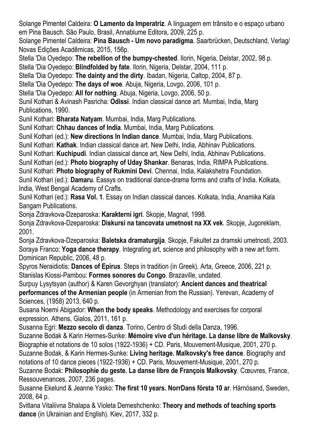Solange Pimentel Caldeira: **O Lamento da Imperatriz**. A linguagem em trânsito e o espaço urbano em Pina Bausch. São Paulo, Brasil, Annablume Editora, 2009, 225 p.

Solange Pimentel Caldeira: **Pina Bausch - Um novo paradigma**. Saarbrücken, Deutschland, Verlag/ Novas Edições Acadêmicas, 2015, 156p.

Stella 'Dia Oyedepo: **The rebellion of the bumpy-chested**. Ilorin, Nigeria, Delstar, 2002, 98 p. Stella 'Dia Oyedepo: **Blindfolded by fate**. Ilorin, Nigeria, Delstar, 2004, 111 p.

Stella 'Dia Oyedepo: **The dainty and the dirty**. Ibadan, Nigeria, Caltop, 2004, 87 p.

Stella 'Dia Oyedepo: **The days of woe**. Abuja, Nigeria, Lovgo, 2006, 101 p.

Stella 'Dia Oyedepo: **All for nothing**. Abuja, Nigeria, Lovgo, 2006, 50 p.

Sunil Kothari & Avinash Pasricha: **Odissi**. Indian classical dance art. Mumbai, India, Marg Publications, 1990.

Sunil Kothari: **Bharata Natyam**. Mumbai, India, Marg Publications.

Sunil Kothari: **Chhau dances of India**. Mumbai, India, Marg Publications.

Sunil Kothari (ed.): **New directions In Indian dance**. Mumbai, India, Marg Publications.

Sunil Kothari: **Kathak**. Indian classical dance art. New Delhi, India, Abhinav Publications.

Sunil Kothari: **Kuchipudi**. Indian classical dance art, New Delhi, India, Abhinav Publications.

Sunil Kothari (ed.): **Photo biography of Uday Shankar**. Benaras, India, RIMPA Publications.

Sunil Kothari: **Photo biography of Rukmini Devi**. Chennai, India, Kalakshetra Foundation.

Sunil Kothari (ed.): **Damaru**. Eassys on traditional dance-drama forms and crafts of India. Kolkata, India, West Bengal Academy of Crafts.

Sunil Kothari (ed.): **Rasa Vol. 1**. Essay on Indian classical dances. Kolkata, India, Anamika Kala Sangam Publications.

Sonja Zdravkova-Dzeparoska: **Karakterni igri**. Skopje, Magnat, 1998.

Sonja Zdravkova-Dzeparoska: **Diskursi na tancovata umetnost na XX vek**. Skopje, Jugoreklam, 2001.

Sonja Zdravkova-Dzeparoska: **Baletska dramaturgija**. Skopje, Fakultet za dramski umetnosti, 2003. Soraya Franco: **Yoga dance therapy**. Integrating art, science and philosophy with a new art form. Dominican Republic, 2006, 48 p.

Spyros Neraidiotis: **Dances of Epirus**. Steps in tradition (in Greek). Arta, Greece, 2006, 221 p. Stanislas Kiossi-Pambou: **Formes sonores du Congo**. Brazaville, undated.

Surpuy Lysytsyan (author) & Karen Gevorghyan (translator): **Ancient dances and theatrical performances of the Armenian people** (in Armenian from the Russian). Yerevan, Academy of Sciences, (1958) 2013, 640 p.

Susana Noemi Abigador: **When the body speaks**. Methodology and exercises for corporal expression. Athens, Gialos, 2011, 161 p.

Susanna Egri: **Mezzo secolo di danza**. Torino, Centro di Studi della Danza, 1996.

Suzanne Bodak & Karin Hermes-Sunke: **Mémoire vive d'un héritage. La danse libre de Malkovsky**. Biographie et notations de 10 solos (1922-1936) + CD. Paris, Mouvement-Musique, 2001, 270 p.

Suzanne Bodak, & Karin Hermes-Sunke: **Living heritage. Malkovsky's free dance**. Biography and notations of 10 dance pieces (1922-1936) + CD. Paris, Mouvement-Musique, 2001, 270 p.

Suzanne Bodak: **Philosophie du geste. La danse libre de François Malkovsky**. Cœuvres, France, Ressouvenances, 2007, 236 pages.

Susanne Ekelund & Jeanne Yasko: **The first 10 years. NorrDans första 10 ar**. Härnösand, Sweden, 2008, 64 p.

Svitlana Vitaliivna Shalapa & Violeta Demeshchenko: **Theory and methods of teaching sports dance** (in Ukrainian and English). Kiev, 2017, 332 p.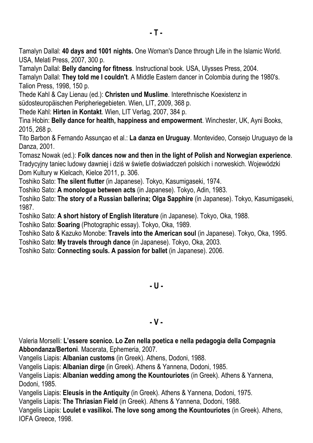Tamalyn Dallal: **40 days and 1001 nights.** One Woman's Dance through Life in the Islamic World. USA, Melati Press, 2007, 300 p.

Tamalyn Dallal: **Belly dancing for fitness**. Instructional book. USA, Ulysses Press, 2004.

Tamalyn Dallal: **They told me I couldn't**. A Middle Eastern dancer in Colombia during the 1980's. Talion Press, 1998, 150 p.

Thede Kahl & Cay Lienau (ed.): **Christen und Muslime**. Interethnische Koexistenz in südosteuropäischen Peripheriegebieten. Wien, LIT, 2009, 368 p.

Thede Kahl: **Hirten in Kontakt**. Wien, LIT Verlag, 2007, 384 p.

Tina Hobin: **Belly dance for health, happiness and empowerment**. Winchester, UK, Ayni Books, 2015, 268 p.

Tito Barbon & Fernando Assunçao et al.: **La danza en Uruguay**. Montevideo, Consejo Uruguayo de la Danza, 2001.

Tomasz Nowak (ed.): **Folk dances now and then in the light of Polish and Norwegian experience**. Tradycyjny taniec ludowy dawniej i dziś w świetle doświadczeń polskich i norweskich. Wojewódzki Dom Kultury w Kielcach, Kielce 2011, p. 306.

Toshiko Sato: **The silent flutter** (in Japanese). Tokyo, Kasumigaseki, 1974.

Toshiko Sato: **A monologue between acts** (in Japanese). Tokyo, Adin, 1983.

Toshiko Sato: **The story of a Russian ballerina; Olga Sapphire** (in Japanese). Tokyo, Kasumigaseki, 1987.

Toshiko Sato: **A short history of English literature** (in Japanese). Tokyo, Oka, 1988.

Toshiko Sato: **Soaring** (Photographic essay). Tokyo, Oka, 1989.

Toshiko Sato & Kazuko Monobe: **Travels into the American soul** (in Japanese). Tokyo, Oka, 1995.

Toshiko Sato: **My travels through dance** (in Japanese). Tokyo, Oka, 2003.

Toshiko Sato: **Connecting souls. A passion for ballet** (in Japanese). 2006.

**- U -**

### **- V -**

Valeria Morselli: **L'essere scenico. Lo Zen nella poetica e nella pedagogia della Compagnia Abbondanza/Bertoni**. Macerata, Ephemeria, 2007.

Vangelis Liapis: **Albanian customs** (in Greek). Athens, Dodoni, 1988.

Vangelis Liapis: **Albanian dirge** (in Greek). Athens & Yannena, Dodoni, 1985.

Vangelis Liapis: **Albanian wedding among the Kountouriotes** (in Greek). Athens & Yannena, Dodoni, 1985.

Vangelis Liapis: **Eleusis in the Antiquity** (in Greek). Athens & Yannena, Dodoni, 1975.

Vangelis Liapis: **The Thriasian Field** (in Greek). Athens & Yannena, Dodoni, 1988.

Vangelis Liapis: **Loulet e vasilikoi. The love song among the Kountouriotes** (in Greek). Athens, IOFA Greece, 1998.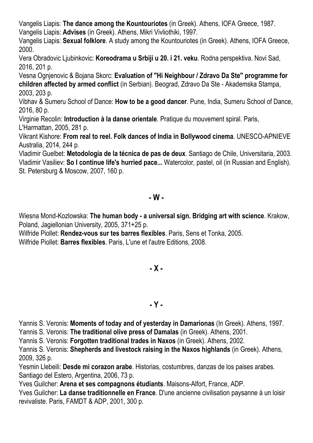Vangelis Liapis: **The dance among the Kountouriotes** (in Greek). Athens, IOFA Greece, 1987. Vangelis Liapis: **Advises** (in Greek). Athens, Mikri Vivliothiki, 1997.

Vangelis Liapis: **Sexual folklore**. A study among the Kountouriotes (in Greek). Athens, IOFA Greece, 2000.

Vera Obradovic Ljubinkovic: **Koreodrama u Srbiji u 20. i 21. veku**. Rodna perspektiva. Novi Sad, 2016, 201 p.

Vesna Ognjenovic & Bojana Skorc: **Evaluation of "Hi Neighbour / Zdravo Da Ste" programme for children affected by armed conflict** (in Serbian). Beograd, Zdravo Da Ste - Akademska Stampa, 2003, 203 p.

Vibhav & Sumeru School of Dance: **How to be a good dancer**. Pune, India, Sumeru School of Dance, 2016, 80 p.

Virginie Recolin: **Introduction à la danse orientale**. Pratique du mouvement spiral. Paris, L'Harmattan, 2005, 281 p.

Vikrant Kishore: **From real to reel. Folk dances of India in Bollywood cinema**. UNESCO-APNIEVE Australia, 2014, 244 p.

Vladimir Guelbet: **Metodologia de la técnica de pas de deux**. Santiago de Chile, Universitaria, 2003. Vladimir Vasiliev: **So I continue life's hurried pace...** Watercolor, pastel, oil (in Russian and English). St. Petersburg & Moscow, 2007, 160 p.

### **- W -**

Wiesna Mond-Kozlowska: **The human body - a universal sign. Bridging art with science**. Krakow, Poland, Jagiellonian University, 2005, 371+25 p.

Wilfride Piollet: **Rendez-vous sur tes barres flexibles**. Paris, Sens et Tonka, 2005.

Wilfride Piollet: **Barres flexibles**. Paris, L'une et l'autre Editions, 2008.

## **- X -**

### **- Y -**

Yannis S. Veronis: **Moments of today and of yesterday in Damarionas** (In Greek). Athens, 1997.

Yannis S. Veronis: **The traditional olive press of Damalas** (in Greek). Athens, 2001.

Yannis S. Veronis: **Forgotten traditional trades in Naxos** (in Greek). Athens, 2002.

Yannis S. Veronis: **Shepherds and livestock raising in the Naxos highlands** (in Greek). Athens, 2009, 326 p.

Yesmin Llebeili: **Desde mi corazon arabe**. Historias, costumbres, danzas de los paises arabes. Santiago del Estero, Argentina, 2006, 73 p.

Yves Guilcher: **Arena et ses compagnons étudiants**. Maisons-Alfort, France, ADP.

Yves Guilcher: **La danse traditionnelle en France**. D'une ancienne civilisation paysanne à un loisir revivaliste. Paris, FAMDT & ADP, 2001, 300 p.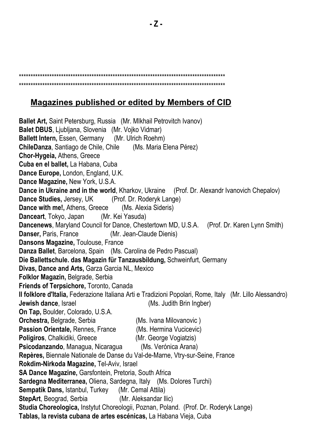#### \*\*\*\*\*\*\*\*\*\*\*\*\*\*\*\*\*\*\*\*\*\*\*\*\*\*\*\*\*\*\*\*\*\*\*\*\*\*\*\*\*\*\*\*\*\*\*\*\*\*\*\*\*\*\*\*\*\*\*\*\*\*\*\*\*\*\*\*\*\*\*\*\*\*\*\*\*\*\*\*\*\*\*\*\*\*\*\* \*\*\*\*\*\*\*\*\*\*\*\*\*\*\*\*\*\*\*\*\*\*\*\*\*\*\*\*\*\*\*\*\*\*\*\*\*\*\*\*\*\*\*\*\*\*\*\*\*\*\*\*\*\*\*\*\*\*\*\*\*\*\*\*\*\*\*\*\*\*\*\*\*\*\*\*\*\*\*\*\*\*\*\*\*\*\*\*

### **Magazines published or edited by Members of CID**

**Ballet Art,** Saint Petersburg, Russia (Mr. MIkhail Petrovitch Ivanov) **Balet DBUS**, Ljubljana, Slovenia (Mr. Vojko Vidmar) **Ballett Intern,** Essen, Germany (Mr. Ulrich Roehm) **ChileDanza**, Santiago de Chile, Chile (Ms. Maria Elena Pérez) **Chor-Hygeia,** Athens, Greece **Cuba en el ballet,** La Habana, Cuba **Dance Europe,** London, England, U.K. **Dance Magazine,** New York, U.S.A. **Dance in Ukraine and in the world**, Kharkov, Ukraine (Prof. Dr. Alexandr Ivanovich Chepalov) **Dance Studies,** Jersey, UK (Prof. Dr. Roderyk Lange) **Dance with me!,** Athens, Greece (Ms. Alexia Sideris) **Danceart**, Tokyo, Japan (Mr. Kei Yasuda) **Dancenews**, Maryland Council for Dance, Chestertown MD, U.S.A. (Prof. Dr. Karen Lynn Smith) **Danser,** Paris, France (Mr. Jean-Claude Dienis) **Dansons Magazine,** Toulouse, France **Danza Ballet**, Barcelona, Spain (Ms. Carolina de Pedro Pascual) **Die Ballettschule. das Magazin für Tanzausbildung,** Schweinfurt, Germany **Divas, Dance and Arts,** Garza Garcia NL, Mexico **Folklor Magazin,** Belgrade, Serbia **Friends of Terpsichore,** Toronto, Canada **Il folklore d'Italia,** Federazione Italiana Arti e Tradizioni Popolari, Rome, Italy (Mr. Lillo Alessandro) **Jewish dance**, Israel (Ms. Judith Brin Ingber) **On Tap,** Boulder, Colorado, U.S.A. **Orchestra, Belgrade, Serbia** (Ms. Ivana Milovanovic) **Passion Orientale,** Rennes, France (Ms. Hermina Vucicevic) **Poligiros**, Chalkidiki, Greece (Mr. George Vogiatzis) **Psicodanzando**, Managua, Nicaragua (Ms. Verónica Arana) **Repères,** Biennale Nationale de Danse du Val-de-Marne, Vtry-sur-Seine, France **Rokdim-Nirkoda Magazine,** Tel-Aviv, Israel **SA Dance Magazine,** Garsfontein, Pretoria, South Africa **Sardegna Mediterranea,** Oliena, Sardegna, Italy (Ms. Dolores Turchi) **Sempatik Dans,** Istanbul, Turkey (Mr. Cemal Attila) **StepArt**, Beograd, Serbia (Mr. Aleksandar Ilic) **Studia Choreologica,** Instytut Choreologii, Poznan, Poland. (Prof. Dr. Roderyk Lange) **Tablas, la revista cubana de artes escénicas,** La Habana Vieja, Cuba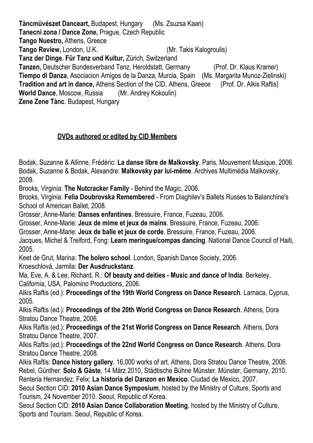**Tàncmüvészet Danceart,** Budapest, Hungary (Ms. Zsuzsa Kaan) **Tanecni zona / Dance Zone,** Prague, Czech Republic **Tango Nuestro,** Athens, Greece **Tango Review,** London, U.K. (Mr. Takis Kalogroulis) **Tanz der Dinge. Für Tanz und Kultur,** Zürich, Switzerland **Tanzen,** Deutscher Bundesverband Tanz, Heroldstatt, Germany (Prof. Dr. Klaus Kramer) **Tiempo di Danza**, Asociacion Amigos de la Danza, Murcia, Spain (Ms. Margarita Munoz-Zielinski) **Tradition and art in dance,** Athens Section of the CID, Athens, Greece (Prof. Dr. Alkis Raftis) **World Dance**, Moscow, Russia (Mr. Andrey Kokoulin) **Zene Zene Tànc**. Budapest, Hungary

### **DVDs authored or edited by CID Members**

Bodak, Suzanne & Allinne, Frédéric: **La danse libre de Malkovsky**. Paris, Mouvement Musique, 2006. Bodak, Suzanne & Bodak, Alexandre: **Malkovsky par lui-même**. Archives Multimédia Malkovsky, 2009.

Brooks, Virginia: **The Nutcracker Family** - Behind the Magic, 2006.

Brooks, Virginia: **Felia Doubrovska Remembered** - From Diaghilev's Ballets Russes to Balanchine's School of American Ballet, 2008.

Grosser, Anne-Marie: **Danses enfantines**. Bressuire, France, Fuzeau, 2006.

Grosser, Anne-Marie: **Jeux de mime et jeux de mains**. Bressuire, France, Fuzeau, 2006.

Grosser, Anne-Marie: **Jeux de balle et jeux de corde**. Bressuire, France, Fuzeau, 2006.

Jacques, Michel & Trelford, Fong: **Learn meringue/compas dancing**. National Dance Council of Haiti, 2005.

Keet de Grut, Marina: **The bolero school**. London, Spanish Dance Society, 2006. Kroeschlová, Jarmila: **Der Ausdruckstanz**.

Ma, Eve, A. & Lee, Richard, R.: **Of beauty and deities - Music and dance of India**. Berkeley, California, USA, Palomino Productions, 2006.

Alkis Raftis (ed.): **Proceedings of the 19th World Congress on Dance Research**. Larnaca, Cyprus, 2005.

Alkis Raftis (ed.): **Proceedings of the 20th World Congress on Dance Research**. Athens, Dora Stratou Dance Theatre, 2006.

Alkis Raftis (ed.): **Proceedings of the 21st World Congress on Dance Research**. Athens, Dora Stratou Dance Theatre, 2007.

Alkis Raftis (ed.): **Proceedings of the 22nd World Congress on Dance Research**. Athens, Dora Stratou Dance Theatre, 2008.

Alkis Raftis: **Dance history gallery**. 16,000 works of art. Athens, Dora Stratou Dance Theatre, 2006. Rebel, Günther: **Solo & Gäste**, 14 März 2010, Städtische Bühne Münster. Münster, Germany, 2010. Renteria Hernandez, Felix: **La historia del Danzon en Mexico**. Ciudad de Mexico, 2007.

Seoul Section CID: **2010 Asian Dance Symposium**, hosted by the Ministry of Culture, Sports and Tourism, 24 November 2010. Seoul, Republic of Korea.

Seoul Section CID: **2010 Asian Dance Collaboration Meeting**, hosted by the Ministry of Culture, Sports and Tourism. Seoul, Republic of Korea.